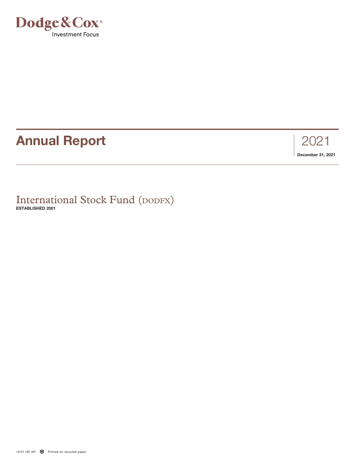

# **Annual Report**

## 2021

**December 31, 2021**

International Stock Fund (DODFX) **ESTABLISHED 2001**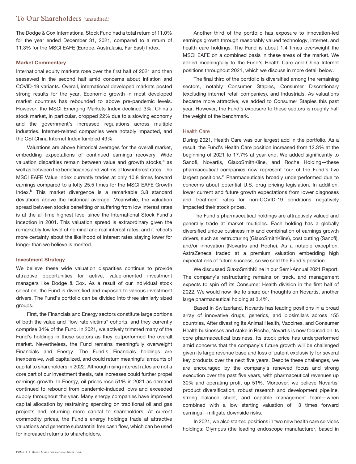### To Our Shareholders (unaudited)

The Dodge & Cox International Stock Fund had a total return of 11.0% for the year ended December 31, 2021, compared to a return of 11.3% for the MSCI EAFE (Europe, Australasia, Far East) Index.

#### **Market Commentary**

International equity markets rose over the first half of 2021 and then seesawed in the second half amid concerns about inflation and COVID-19 variants. Overall, international developed markets posted strong results for the year. Economic growth in most developed market countries has rebounded to above pre-pandemic levels. However, the MSCI Emerging Markets Index declined 3%. China's stock market, in particular, dropped 22% due to a slowing economy and the government's increased regulations across multiple industries. Internet-related companies were notably impacted, and the CSI China Internet Index tumbled 49%.

Valuations are above historical averages for the overall market, embedding expectations of continued earnings recovery. Wide valuation disparities remain between value and growth stocks, $a$  as well as between the beneficiaries and victims of low interest rates. The MSCI EAFE Value Index currently trades at only 10.8 times forward earnings compared to a lofty 25.5 times for the MSCI EAFE Growth Index.<sup>b</sup> This market divergence is a remarkable 3.8 standard deviations above the historical average. Meanwhile, the valuation spread between stocks benefiting or suffering from low interest rates is at the all-time highest level since the International Stock Fund's inception in 2001. This valuation spread is extraordinary given the remarkably low level of nominal and real interest rates, and it reflects more certainty about the likelihood of interest rates staying lower for longer than we believe is merited.

#### **Investment Strategy**

We believe these wide valuation disparities continue to provide attractive opportunities for active, value-oriented investment managers like Dodge & Cox. As a result of our individual stock selection, the Fund is diversified and exposed to various investment drivers. The Fund's portfolio can be divided into three similarly sized groups.

First, the Financials and Energy sectors constitute large portions of both the value and "low-rate victims" cohorts, and they currently comprise 34% of the Fund. In 2021, we actively trimmed many of the Fund's holdings in these sectors as they outperformed the overall market. Nevertheless, the Fund remains meaningfully overweight Financials and Energy. The Fund's Financials holdings are inexpensive, well capitalized, and could return meaningful amounts of capital to shareholders in 2022. Although rising interest rates are not a core part of our investment thesis, rate increases could further propel earnings growth. In Energy, oil prices rose 51% in 2021 as demand continued to rebound from pandemic-induced lows and exceeded supply throughout the year. Many energy companies have improved capital allocation by restraining spending on traditional oil and gas projects and returning more capital to shareholders. At current commodity prices, the Fund's energy holdings trade at attractive valuations and generate substantial free cash flow, which can be used for increased returns to shareholders.

Another third of the portfolio has exposure to innovation-led earnings growth through reasonably valued technology, internet, and health care holdings. The Fund is about 1.4 times overweight the MSCI EAFE on a combined basis in these areas of the market. We added meaningfully to the Fund's Health Care and China Internet positions throughout 2021, which we discuss in more detail below.

The final third of the portfolio is diversified among the remaining sectors, notably Consumer Staples, Consumer Discretionary (excluding internet retail companies), and Industrials. As valuations became more attractive, we added to Consumer Staples this past year. However, the Fund's exposure to these sectors is roughly half the weight of the benchmark.

#### Health Care

During 2021, Health Care was our largest add in the portfolio. As a result, the Fund's Health Care position increased from 12.3% at the beginning of 2021 to 17.7% at year-end. We added significantly to Sanofi, Novartis, GlaxoSmithKline, and Roche Holding—these pharmaceutical companies now represent four of the Fund's five largest positions.<sup>c</sup> Pharmaceuticals broadly underperformed due to concerns about potential U.S. drug pricing legislation. In addition, lower current and future growth expectations from lower diagnoses and treatment rates for non-COVID-19 conditions negatively impacted their stock prices.

The Fund's pharmaceutical holdings are attractively valued and generally trade at market multiples. Each holding has a globally diversified unique business mix and combination of earnings growth drivers, such as restructuring (GlaxoSmithKline), cost cutting (Sanofi), and/or innovation (Novartis and Roche). As a notable exception, AstraZeneca traded at a premium valuation embedding high expectations of future success, so we sold the Fund's position.

We discussed GlaxoSmithKline in our Semi-Annual 2021 Report. The company's restructuring remains on track, and management expects to spin off its Consumer Health division in the first half of 2022. We would now like to share our thoughts on Novartis, another large pharmaceutical holding at 3.4%.

Based in Switzerland, Novartis has leading positions in a broad array of innovative drugs, generics, and biosimilars across 155 countries. After divesting its Animal Health, Vaccines, and Consumer Health businesses and stake in Roche, Novartis is now focused on its core pharmaceutical business. Its stock price has underperformed amid concerns that the company's future growth will be challenged given its large revenue base and loss of patent exclusivity for several key products over the next five years. Despite these challenges, we are encouraged by the company's renewed focus and strong execution over the past five years, with pharmaceutical revenues up 30% and operating profit up 51%. Moreover, we believe Novartis' product diversification, robust research and development pipeline, strong balance sheet, and capable management team—when combined with a low starting valuation of 13 times forward earnings—mitigate downside risks.

In 2021, we also started positions in two new health care services holdings: Olympus (the leading endoscope manufacturer, based in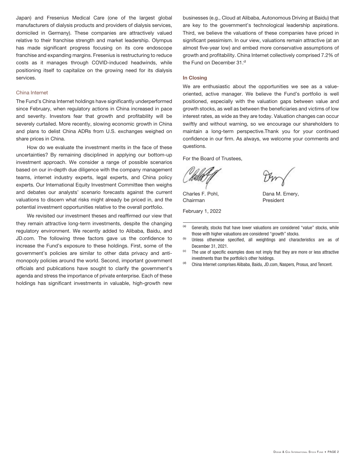Japan) and Fresenius Medical Care (one of the largest global manufacturers of dialysis products and providers of dialysis services, domiciled in Germany). These companies are attractively valued relative to their franchise strength and market leadership. Olympus has made significant progress focusing on its core endoscope franchise and expanding margins. Fresenius is restructuring to reduce costs as it manages through COVID-induced headwinds, while positioning itself to capitalize on the growing need for its dialysis services.

#### China Internet

The Fund's China Internet holdings have significantly underperformed since February, when regulatory actions in China increased in pace and severity. Investors fear that growth and profitability will be severely curtailed. More recently, slowing economic growth in China and plans to delist China ADRs from U.S. exchanges weighed on share prices in China.

How do we evaluate the investment merits in the face of these uncertainties? By remaining disciplined in applying our bottom-up investment approach. We consider a range of possible scenarios based on our in-depth due diligence with the company management teams, internet industry experts, legal experts, and China policy experts. Our International Equity Investment Committee then weighs and debates our analysts' scenario forecasts against the current valuations to discern what risks might already be priced in, and the potential investment opportunities relative to the overall portfolio.

We revisited our investment theses and reaffirmed our view that they remain attractive long-term investments, despite the changing regulatory environment. We recently added to Alibaba, Baidu, and JD.com. The following three factors gave us the confidence to increase the Fund's exposure to these holdings. First, some of the government's policies are similar to other data privacy and antimonopoly policies around the world. Second, important government officials and publications have sought to clarify the government's agenda and stress the importance of private enterprise. Each of these holdings has significant investments in valuable, high-growth new

businesses (e.g., Cloud at Alibaba, Autonomous Driving at Baidu) that are key to the government's technological leadership aspirations. Third, we believe the valuations of these companies have priced in significant pessimism. In our view, valuations remain attractive (at an almost five-year low) and embed more conservative assumptions of growth and profitability. China Internet collectively comprised 7.2% of the Fund on December 31.<sup>d</sup>

#### **In Closing**

We are enthusiastic about the opportunities we see as a valueoriented, active manager. We believe the Fund's portfolio is well positioned, especially with the valuation gaps between value and growth stocks, as well as between the beneficiaries and victims of low interest rates, as wide as they are today. Valuation changes can occur swiftly and without warning, so we encourage our shareholders to maintain a long-term perspective.Thank you for your continued confidence in our firm. As always, we welcome your comments and questions.

For the Board of Trustees,

Charles F. Pohl, Chairman

February 1, 2022

Dana M. Emery, President

- $(a)$  Generally, stocks that have lower valuations are considered "value" stocks, while those with higher valuations are considered "growth" stocks.
- (b) Unless otherwise specified, all weightings and characteristics are as of December 31, 2021.
- $\degree$  The use of specific examples does not imply that they are more or less attractive investments than the portfolio's other holdings.
- China Internet comprises Alibaba, Baidu, JD.com, Naspers, Prosus, and Tencent.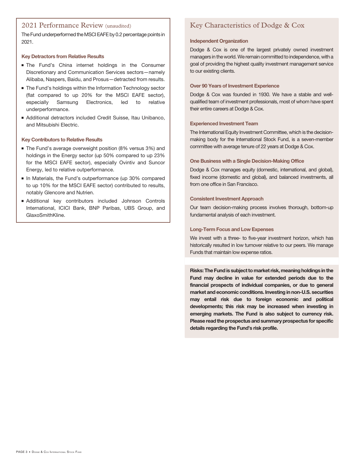### 2021 Performance Review (unaudited)

The Fund underperformed the MSCI EAFE by 0.2 percentage points in 2021.

#### **Key Detractors from Relative Results**

- The Fund's China internet holdings in the Consumer Discretionary and Communication Services sectors—namely Alibaba, Naspers, Baidu, and Prosus—detracted from results.
- **The Fund's holdings within the Information Technology sector** (flat compared to up 20% for the MSCI EAFE sector), especially Samsung Electronics, led to relative underperformance.
- Additional detractors included Credit Suisse, Itau Unibanco, and Mitsubishi Electric.

### **Key Contributors to Relative Results**

- The Fund's average overweight position (8% versus 3%) and holdings in the Energy sector (up 50% compared to up 23% for the MSCI EAFE sector), especially Ovintiv and Suncor Energy, led to relative outperformance.
- **. In Materials, the Fund's outperformance (up 30% compared** to up 10% for the MSCI EAFE sector) contributed to results, notably Glencore and Nutrien.
- Additional key contributors included Johnson Controls International, ICICI Bank, BNP Paribas, UBS Group, and GlaxoSmithKline.

### Key Characteristics of Dodge & Cox

#### **Independent Organization**

Dodge & Cox is one of the largest privately owned investment managers in the world.We remain committed to independence, with a goal of providing the highest quality investment management service to our existing clients.

### **Over 90 Years of Investment Experience**

Dodge & Cox was founded in 1930. We have a stable and wellqualified team of investment professionals, most of whom have spent their entire careers at Dodge & Cox.

### **Experienced Investment Team**

The International Equity Investment Committee, which is the decisionmaking body for the International Stock Fund, is a seven-member committee with average tenure of 22 years at Dodge & Cox.

### **One Business with a Single Decision-Making Office**

Dodge & Cox manages equity (domestic, international, and global), fixed income (domestic and global), and balanced investments, all from one office in San Francisco.

### **Consistent Investment Approach**

Our team decision-making process involves thorough, bottom-up fundamental analysis of each investment.

### **Long-Term Focus and Low Expenses**

We invest with a three- to five-year investment horizon, which has historically resulted in low turnover relative to our peers. We manage Funds that maintain low expense ratios.

**Risks: The Fund is subject tomarket risk,meaning holdings in the Fund may decline in value for extended periods due to the financial prospects of individual companies, or due to general market and economic conditions. Investing in non-U.S. securities may entail risk due to foreign economic and political developments; this risk may be increased when investing in emerging markets. The Fund is also subject to currency risk. Please read the prospectus and summary prospectus for specific details regarding the Fund's risk profile.**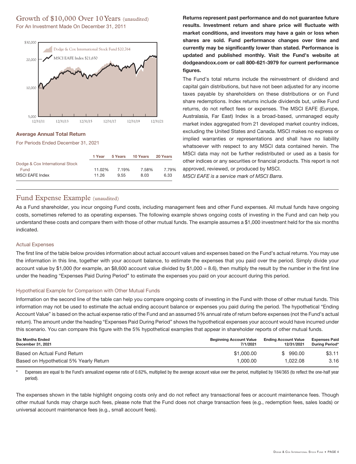



#### **Average Annual Total Return**

For Periods Ended December 31, 2021

|                                         | 1 Year | 5 Years 10 Years |       | 20 Years |
|-----------------------------------------|--------|------------------|-------|----------|
| Dodge & Cox International Stock<br>Fund | 11.02% | 7.19%            | 7.58% | 7.79%    |
| <b>MSCI EAFE Index</b>                  | 11.26  | 9.55             | 8.03  | 6.33     |

### Fund Expense Example (unaudited)

As a Fund shareholder, you incur ongoing Fund costs, including management fees and other Fund expenses. All mutual funds have ongoing costs, sometimes referred to as operating expenses. The following example shows ongoing costs of investing in the Fund and can help you understand these costs and compare them with those of other mutual funds. The example assumes a \$1,000 investment held for the six months indicated.

#### Actual Expenses

The first line of the table below provides information about actual account values and expenses based on the Fund's actual returns. You may use the information in this line, together with your account balance, to estimate the expenses that you paid over the period. Simply divide your account value by \$1,000 (for example, an \$8,600 account value divided by \$1,000 = 8.6), then multiply the result by the number in the first line under the heading "Expenses Paid During Period" to estimate the expenses you paid on your account during this period.

### Hypothetical Example for Comparison with Other Mutual Funds

Information on the second line of the table can help you compare ongoing costs of investing in the Fund with those of other mutual funds. This information may not be used to estimate the actual ending account balance or expenses you paid during the period. The hypothetical "Ending Account Value" is based on the actual expense ratio of the Fund and an assumed 5% annual rate of return before expenses (not the Fund's actual return). The amount under the heading "Expenses Paid During Period" shows the hypothetical expenses your account would have incurred under this scenario. You can compare this figure with the 5% hypothetical examples that appear in shareholder reports of other mutual funds.

| <b>Six Months Ended</b><br>December 31, 2021 | <b>Beginning Account Value</b><br>7/1/2021 | <b>Ending Account Value</b><br>12/31/2021 | <b>Expenses Paid</b><br><b>During Period*</b> |
|----------------------------------------------|--------------------------------------------|-------------------------------------------|-----------------------------------------------|
| Based on Actual Fund Return                  | \$1,000,00                                 | \$990.00                                  | \$3.11                                        |
| Based on Hypothetical 5% Yearly Return       | 1.000.00                                   | 1.022.08                                  | 3.16                                          |

Expenses are equal to the Fund's annualized expense ratio of 0.62%, multiplied by the average account value over the period, multiplied by 184/365 (to reflect the one-half year period).

The expenses shown in the table highlight ongoing costs only and do not reflect any transactional fees or account maintenance fees. Though other mutual funds may charge such fees, please note that the Fund does not charge transaction fees (e.g., redemption fees, sales loads) or universal account maintenance fees (e.g., small account fees).

**Returns represent past performance and do not guarantee future results. Investment return and share price will fluctuate with market conditions, and investors may have a gain or loss when shares are sold. Fund performance changes over time and currently may be significantly lower than stated. Performance is updated and published monthly. Visit the Fund's website at dodgeandcox.com or call 800-621-3979 for current performance figures.**

The Fund's total returns include the reinvestment of dividend and capital gain distributions, but have not been adjusted for any income taxes payable by shareholders on these distributions or on Fund share redemptions. Index returns include dividends but, unlike Fund returns, do not reflect fees or expenses. The MSCI EAFE (Europe, Australasia, Far East) Index is a broad-based, unmanaged equity market index aggregated from 21 developed market country indices, excluding the United States and Canada. MSCI makes no express or implied warranties or representations and shall have no liability whatsoever with respect to any MSCI data contained herein. The MSCI data may not be further redistributed or used as a basis for other indices or any securities or financial products. This report is not approved, reviewed, or produced by MSCI.

MSCI EAFE is a service mark of MSCI Barra.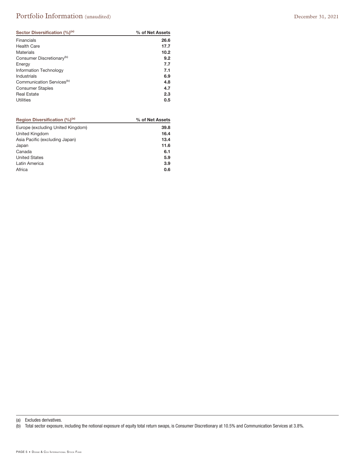### Portfolio Information (unaudited) December 31, 2021

| Sector Diversification (%) <sup>(a)</sup> | % of Net Assets |
|-------------------------------------------|-----------------|
| Financials                                | 26.6            |
| <b>Health Care</b>                        | 17.7            |
| Materials                                 | 10.2            |
| Consumer Discretionary <sup>(b)</sup>     | 9.2             |
| Energy                                    | 7.7             |
| Information Technology                    | 7.1             |
| Industrials                               | 6.9             |
| Communication Services <sup>(b)</sup>     | 4.8             |
| <b>Consumer Staples</b>                   | 4.7             |
| <b>Real Estate</b>                        | 2.3             |
| Utilities                                 | 0.5             |

| Region Diversification (%) <sup>(a)</sup> | % of Net Assets |
|-------------------------------------------|-----------------|
| Europe (excluding United Kingdom)         | 39.8            |
| United Kingdom                            | 16.4            |
| Asia Pacific (excluding Japan)            | 13.4            |
| Japan                                     | 11.6            |
| Canada                                    | 6.1             |
| <b>United States</b>                      | 5.9             |
| Latin America                             | 3.9             |
| Africa                                    | 0.6             |

(a) Excludes derivatives.

(b) Total sector exposure, including the notional exposure of equity total return swaps, is Consumer Discretionary at 10.5% and Communication Services at 3.8%.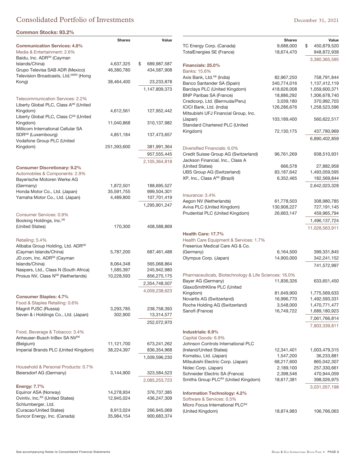|                                                                       | <b>Shares</b>           | Value                      |
|-----------------------------------------------------------------------|-------------------------|----------------------------|
| <b>Communication Services: 4.8%</b>                                   |                         |                            |
| Media & Entertainment: 2.6%                                           |                         |                            |
| Baidu, Inc. ADR <sup>(a)</sup> (Cayman                                |                         |                            |
| Islands/China)                                                        | 4,637,325               | \$<br>689,987,587          |
| Grupo Televisa SAB ADR (Mexico)                                       | 46,380,780              | 434,587,908                |
| Television Broadcasts, Ltd. <sup>(a)(b)</sup> (Hong                   |                         |                            |
| Kong)                                                                 | 38,464,400              | 23,233,878                 |
|                                                                       |                         | 1,147,809,373              |
|                                                                       |                         |                            |
| Telecommunication Services: 2.2%                                      |                         |                            |
| Liberty Global PLC, Class A <sup>(a)</sup> (United                    |                         |                            |
| Kingdom)                                                              | 4,612,561               | 127,952,442                |
| Liberty Global PLC, Class C <sup>(a)</sup> (United                    |                         |                            |
| Kingdom)                                                              | 11,040,868              | 310,137,982                |
| Millicom International Cellular SA<br>SDR <sup>(a)</sup> (Luxembourg) |                         |                            |
| Vodafone Group PLC (United                                            | 4,851,184               | 137,473,657                |
| Kingdom)                                                              | 251,393,600             | 381,991,364                |
|                                                                       |                         |                            |
|                                                                       |                         | 957,555,445                |
|                                                                       |                         | 2,105,364,818              |
| <b>Consumer Discretionary: 9.2%</b>                                   |                         |                            |
| Automobiles & Components: 2.9%                                        |                         |                            |
| Bayerische Motoren Werke AG                                           |                         |                            |
| (Germany)                                                             | 1,872,501<br>35,591,755 | 188,695,527                |
| Honda Motor Co., Ltd. (Japan)<br>Yamaha Motor Co., Ltd. (Japan)       |                         | 999,504,301<br>107,701,419 |
|                                                                       | 4,489,800               |                            |
|                                                                       |                         | 1,295,901,247              |
| Consumer Services: 0.9%                                               |                         |                            |
| Booking Holdings, Inc. <sup>(a)</sup>                                 |                         |                            |
| (United States)                                                       | 170,300                 | 408,588,869                |
|                                                                       |                         |                            |
| Retailing: 5.4%                                                       |                         |                            |
| Alibaba Group Holding, Ltd. ADR <sup>(a)</sup>                        |                         |                            |
| (Cayman Islands/China)                                                | 5,787,200               | 687,461,488                |
| JD.com, Inc. ADR <sup>(a)</sup> (Cayman                               |                         |                            |
| Islands/China)                                                        | 8,064,348               | 565,068,864                |
| Naspers, Ltd., Class N (South Africa)                                 | 1,585,397               | 245,942,980                |
| Prosus NV, Class N <sup>(a)</sup> (Netherlands)                       | 10,228,593              | 856,275,175                |
|                                                                       |                         | 2,354,748,507              |
|                                                                       |                         | 4,059,238,623              |
| <b>Consumer Staples: 4.7%</b>                                         |                         |                            |
| Food & Staples Retailing: 0.6%                                        |                         |                            |
| Magnit PJSC (Russia)                                                  | 3,293,785               | 238,758,393                |
| Seven & i Holdings Co., Ltd. (Japan)                                  | 302,900                 | 13,314,577                 |
|                                                                       |                         | 252,072,970                |
| Food, Beverage & Tobacco: 3.4%                                        |                         |                            |
| Anheuser-Busch InBev SA NV <sup>(a)</sup>                             |                         |                            |
| (Belgium)                                                             | 11,121,700              | 673,241,262                |
| Imperial Brands PLC (United Kingdom)                                  | 38,224,397              | 836,354,968                |
|                                                                       |                         | 1,509,596,230              |
|                                                                       |                         |                            |
| Household & Personal Products: 0.7%                                   |                         |                            |
| Beiersdorf AG (Germany)                                               | 3,144,900               | 323,584,523                |
|                                                                       |                         | 2,085,253,723              |
| <b>Energy: 7.7%</b>                                                   |                         |                            |
| Equinor ASA (Norway)                                                  | 14,278,934              | 376,737,385                |
| Ovintiv, Inc. <sup>(b)</sup> (United States)                          | 12,945,024              | 436,247,309                |
| Schlumberger, Ltd.                                                    |                         |                            |
| (Curacao/United States)                                               | 8,913,024               | 266,945,069                |
| Suncor Energy, Inc. (Canada)                                          | 35,984,154              | 900,683,374                |

|                                                           | <b>Shares</b> | Value             |
|-----------------------------------------------------------|---------------|-------------------|
| TC Energy Corp. (Canada)                                  | 9,688,000     | \$<br>450,879,520 |
| TotalEnergies SE (France)                                 | 18,674,470    | 948,872,938       |
| Financials: 25.0%                                         |               | 3,380,365,595     |
| Banks: 15.6%                                              |               |                   |
| Axis Bank, Ltd. <sup>(a)</sup> (India)                    | 82,967,250    | 758,791,844       |
| Banco Santander SA (Spain)                                | 340,774,016   | 1,137,412,119     |
| Barclays PLC (United Kingdom)                             | 418,626,008   | 1,059,600,371     |
| <b>BNP Paribas SA (France)</b>                            | 18,886,292    | 1,306,678,740     |
| Credicorp, Ltd. (Bermuda/Peru)                            | 3,039,180     | 370,992,703       |
| ICICI Bank, Ltd. (India)                                  | 126,286,676   | 1,258,523,596     |
| Mitsubishi UFJ Financial Group, Inc.                      |               |                   |
| (Japan)<br><b>Standard Chartered PLC (United</b>          | 103,189,400   | 560,622,517       |
| Kingdom)                                                  | 72,130,175    | 437,780,969       |
|                                                           |               |                   |
|                                                           |               | 6,890,402,859     |
| Diversified Financials: 6.0%                              |               |                   |
| Credit Suisse Group AG (Switzerland)                      | 96,761,269    | 938,510,931       |
| Jackson Financial, Inc., Class A                          |               |                   |
| (United States)                                           | 666,578       | 27,882,958        |
| UBS Group AG (Switzerland)                                | 83,187,642    | 1,493,059,595     |
| XP, Inc., Class A <sup>(a)</sup> (Brazil)                 | 6,352,465     | 182,569,844       |
|                                                           |               | 2,642,023,328     |
| Insurance: 3.4%                                           |               |                   |
| Aegon NV (Netherlands)                                    | 61,778,503    | 308,980,785       |
| Aviva PLC (United Kingdom)                                | 130,908,227   | 727,191,145       |
| Prudential PLC (United Kingdom)                           | 26,663,147    | 459,965,794       |
|                                                           |               | 1,496,137,724     |
|                                                           |               | 11,028,563,911    |
| Health Care: 17.7%                                        |               |                   |
| Health Care Equipment & Services: 1.7%                    |               |                   |
| Fresenius Medical Care AG & Co.                           |               |                   |
| (Germany)                                                 | 6,164,500     | 399,331,845       |
| Olympus Corp. (Japan)                                     | 14,900,000    | 342,241,152       |
|                                                           |               | 741,572,997       |
| Pharmaceuticals, Biotechnology & Life Sciences: 16.0%     |               |                   |
| Bayer AG (Germany)                                        | 11,836,326    | 633,651,450       |
| GlaxoSmithKline PLC (United                               |               |                   |
| Kingdom)                                                  | 81,649,900    | 1,775,569,633     |
| Novartis AG (Switzerland)                                 | 16,996,770    | 1,492,593,331     |
| Roche Holding AG (Switzerland)                            | 3,548,000     | 1,470,771,477     |
| Sanofi (France)                                           | 16,749,722    | 1,689,180,923     |
|                                                           |               | 7,061,766,814     |
|                                                           |               | 7,803,339,811     |
| Industrials: 6.9%                                         |               |                   |
| Capital Goods: 6.9%<br>Johnson Controls International PLC |               |                   |
| (Ireland/United States)                                   | 12,341,401    | 1,003,479,315     |
| Komatsu, Ltd. (Japan)                                     | 1,547,200     | 36,233,881        |
| Mitsubishi Electric Corp. (Japan)                         | 68,217,600    | 865,042,307       |
| Nidec Corp. (Japan)                                       | 2,189,100     | 257,330,661       |
| Schneider Electric SA (France)                            | 2,398,546     | 470,944,059       |
| Smiths Group PLC <sup>(b)</sup> (United Kingdom)          | 18,617,381    | 398,026,975       |
|                                                           |               | 3,031,057,198     |
| <b>Information Technology: 4.2%</b>                       |               |                   |
| Software & Services: 0.3%                                 |               |                   |
| Micro Focus International PLC <sup>(b)</sup>              |               |                   |
| (United Kingdom)                                          | 18,874,983    | 106,766,063       |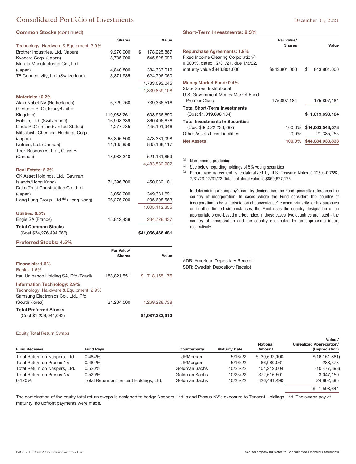#### **Common Stocks** (continued)

|                                                                               | <b>Shares</b> | Value               |
|-------------------------------------------------------------------------------|---------------|---------------------|
| Technology, Hardware & Equipment: 3.9%                                        |               |                     |
| Brother Industries, Ltd. (Japan)                                              | 9,270,900     | \$<br>178,225,867   |
| Kyocera Corp. (Japan)<br>Murata Manufacturing Co., Ltd.                       | 8,735,000     | 545,828,099         |
| (Japan)                                                                       | 4,840,800     | 384,333,019         |
| TE Connectivity, Ltd. (Switzerland)                                           | 3,871,985     | 624,706,060         |
|                                                                               |               |                     |
|                                                                               |               | 1,733,093,045       |
|                                                                               |               | 1,839,859,108       |
| Materials: 10.2%                                                              |               |                     |
| Akzo Nobel NV (Netherlands)                                                   | 6,729,760     | 739,366,516         |
| Glencore PLC (Jersey/United                                                   |               |                     |
| Kingdom)                                                                      | 119,988,261   | 608,956,690         |
| Holcim, Ltd. (Switzerland)                                                    | 16,908,339    | 860,496,676         |
| Linde PLC (Ireland/United States)                                             | 1,277,735     | 445,101,946         |
| Mitsubishi Chemical Holdings Corp.                                            |               |                     |
| (Japan)                                                                       | 63,896,500    | 473,331,098         |
| Nutrien, Ltd. (Canada)                                                        | 11,105,959    | 835,168,117         |
| Teck Resources, Ltd., Class B<br>(Canada)                                     | 18,083,340    | 521,161,859         |
|                                                                               |               |                     |
|                                                                               |               | 4,483,582,902       |
| Real Estate: 2.3%                                                             |               |                     |
| CK Asset Holdings, Ltd. (Cayman                                               |               |                     |
| Islands/Hong Kong)<br>Daito Trust Construction Co., Ltd.                      | 71,396,700    | 450,032,101         |
| (Japan)                                                                       | 3,058,200     | 349,381,691         |
| Hang Lung Group, Ltd. <sup>(b)</sup> (Hong Kong)                              | 96,275,200    | 205,698,563         |
|                                                                               |               |                     |
|                                                                               |               | 1,005,112,355       |
| Utilities: 0.5%                                                               |               |                     |
| Engie SA (France)                                                             | 15,842,438    | 234,728,437         |
| <b>Total Common Stocks</b>                                                    |               |                     |
| (Cost \$34,276,494,066)                                                       |               | \$41,056,466,481    |
| <b>Preferred Stocks: 4.5%</b>                                                 |               |                     |
|                                                                               | Par Value/    |                     |
|                                                                               | <b>Shares</b> | Value               |
| Financials: 1.6%                                                              |               |                     |
| <b>Banks: 1.6%</b>                                                            |               |                     |
| Itau Unibanco Holding SA, Pfd (Brazil)                                        | 188,821,551   | \$<br>718, 155, 175 |
|                                                                               |               |                     |
| <b>Information Technology: 2.9%</b><br>Technology, Hardware & Equipment: 2.9% |               |                     |
| Samsung Electronics Co., Ltd., Pfd.                                           |               |                     |
| (South Korea)                                                                 | 21,204,500    | 1,269,228,738       |
|                                                                               |               |                     |
| <b>Total Preferred Stocks</b>                                                 |               |                     |
| (Cost \$1,226,044,042)                                                        |               | \$1,987,383,913     |

|                                                                                                                                                               | Par Value/<br><b>Shares</b> | Value                          |
|---------------------------------------------------------------------------------------------------------------------------------------------------------------|-----------------------------|--------------------------------|
| <b>Repurchase Agreements: 1.9%</b><br>Fixed Income Clearing Corporation <sup>(c)</sup><br>0.000%, dated 12/31/21, due 1/3/22,<br>maturity value \$843,801,000 | \$843,801,000               | \$<br>843,801,000              |
| <b>Money Market Fund: 0.4%</b><br>State Street Institutional<br>U.S. Government Money Market Fund<br>- Premier Class                                          | 175.897.184                 | 175,897,184                    |
| <b>Total Short-Term Investments</b><br>(Cost \$1,019,698,184)                                                                                                 |                             | \$1,019,698,184                |
| <b>Total Investments In Securities</b><br>(Cost \$36,522,236,292)<br>Other Assets Less Liabilities                                                            | 100.0%<br>$0.0\%$           | \$44,063,548,578<br>21,385,255 |
| <b>Net Assets</b>                                                                                                                                             | 100.0%                      | \$44,084,933,833               |

(a) Non-income producing

**Short-Term Investments: 2.3%**

(b) See below regarding holdings of 5% voting securities

(c) Repurchase agreement is collateralized by U.S. Treasury Notes 0.125%-0.75%, 7/31/23-12/31/23. Total collateral value is \$860,677,173.

In determining a company's country designation, the Fund generally references the country of incorporation. In cases where the Fund considers the country of incorporation to be a "jurisdiction of convenience" chosen primarily for tax purposes or in other limited circumstances, the Fund uses the country designation of an appropriate broad-based market index. In those cases, two countries are listed - the country of incorporation and the country designated by an appropriate index, respectively.

ADR: American Depositary Receipt SDR: Swedish Depository Receipt

#### Equity Total Return Swaps

| <b>Fund Receives</b>          | <b>Fund Pavs</b>                       | Counterparty  | <b>Maturity Date</b> | Notional<br>Amount | Value /<br>Unrealized Appreciation/<br>(Depreciation) |
|-------------------------------|----------------------------------------|---------------|----------------------|--------------------|-------------------------------------------------------|
| Total Return on Naspers, Ltd. | 0.484%                                 | JPMorgan      | 5/16/22              | \$30.692.100       | \$(16, 151, 881)                                      |
| Total Return on Prosus NV     | 0.484%                                 | JPMorgan      | 5/16/22              | 66.980.061         | 288,373                                               |
| Total Return on Naspers, Ltd. | 0.520%                                 | Goldman Sachs | 10/25/22             | 101.212.004        | (10, 477, 393)                                        |
| Total Return on Prosus NV     | 0.520%                                 | Goldman Sachs | 10/25/22             | 372.616.501        | 3,047,150                                             |
| 0.120%                        | Total Return on Tencent Holdings, Ltd. | Goldman Sachs | 10/25/22             | 426.481.490        | 24,802,395                                            |
|                               |                                        |               |                      |                    | 1.508.644                                             |

The combination of the equity total return swaps is designed to hedge Naspers, Ltd.'s and Prosus NV's exposure to Tencent Holdings, Ltd. The swaps pay at maturity; no upfront payments were made.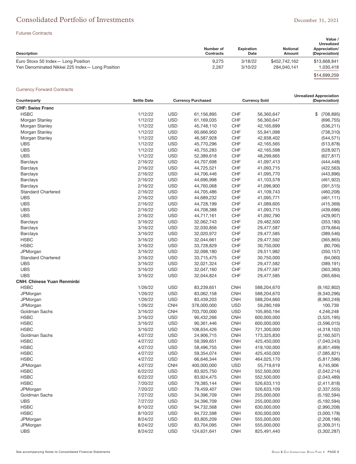### Futures Contracts

| <b>Description</b>                              | Number of<br><b>Contracts</b> | Expiration<br>Date | <b>Notional</b><br>Amount | Value /<br><b>Unrealized</b><br>Appreciation/<br>(Depreciation) |
|-------------------------------------------------|-------------------------------|--------------------|---------------------------|-----------------------------------------------------------------|
| Euro Stoxx 50 Index- Long Position              | 9.275                         | 3/18/22            | \$452,742,162             | \$13,668,841                                                    |
| Yen Denominated Nikkei 225 Index- Long Position | 2,267                         | 3/10/22            | 284.040.141               | 1,030,418                                                       |
|                                                 |                               |                    |                           | \$14,699,259                                                    |

#### Currency Forward Contracts

| Counterparty                      | <b>Settle Date</b> |            | <b>Currency Purchased</b> |            | <b>Currency Sold</b> | <b>Unrealized Appreciation</b><br>(Depreciation) |  |
|-----------------------------------|--------------------|------------|---------------------------|------------|----------------------|--------------------------------------------------|--|
| <b>CHF: Swiss Franc</b>           |                    |            |                           |            |                      |                                                  |  |
| <b>HSBC</b>                       | 1/12/22            | <b>USD</b> | 61,156,895                | <b>CHF</b> | 56,360,647           | (708, 895)<br>\$                                 |  |
| Morgan Stanley                    | 1/12/22            | <b>USD</b> | 61,169,035                | CHF        | 56,360,647           | (696, 755)                                       |  |
| Morgan Stanley                    | 1/12/22            | <b>USD</b> | 45,748,110                | <b>CHF</b> | 42,165,699           | (536, 211)                                       |  |
| Morgan Stanley                    | 1/12/22            | <b>USD</b> | 60,666,950                | <b>CHF</b> | 55,941,098           | (738, 310)                                       |  |
| Morgan Stanley                    | 1/12/22            | <b>USD</b> | 46,587,928                | CHF        | 42,938,402           | (544, 571)                                       |  |
| <b>UBS</b>                        | 1/12/22            | <b>USD</b> | 45,770,296                | CHF        | 42,165,565           | (513, 878)                                       |  |
| <b>UBS</b>                        | 1/12/22            | <b>USD</b> | 45,755,283                | CHF        | 42,165,598           | (528, 927)                                       |  |
| <b>UBS</b>                        | 1/12/22            | <b>USD</b> | 52,389,618                | CHF        | 48,299,665           | (627, 817)                                       |  |
| <b>Barclays</b>                   | 2/16/22            | <b>USD</b> | 44,707,698                | <b>CHF</b> | 41,097,413           | (444, 448)                                       |  |
| <b>Barclays</b>                   | 2/16/22            | <b>USD</b> | 44,725,521                | CHF        | 41,093,715           | (422, 563)                                       |  |
| <b>Barclays</b>                   | 2/16/22            | <b>USD</b> | 44,706,446                | CHF        | 41,095,770           | (443, 896)                                       |  |
| <b>Barclays</b>                   | 2/16/22            | <b>USD</b> | 44,696,998                | <b>CHF</b> | 41,103,578           | (461, 922)                                       |  |
| <b>Barclays</b>                   | 2/16/22            | <b>USD</b> | 44,760,068                | CHF        | 41,096,900           | (391, 515)                                       |  |
| <b>Standard Chartered</b>         | 2/16/22            | <b>USD</b> | 44,705,486                | CHF        | 41,109,743           | (460, 208)                                       |  |
| <b>UBS</b>                        | 2/16/22            | <b>USD</b> | 44,689,232                | CHF        | 41,095,771           | (461, 111)                                       |  |
| <b>UBS</b>                        | 2/16/22            | <b>USD</b> | 44,728,199                | CHF        | 41,089,605           | (415, 369)                                       |  |
| <b>UBS</b>                        | 2/16/22            | <b>USD</b> | 44,708,388                | CHF        | 41,093,715           | (439, 696)                                       |  |
| <b>UBS</b>                        | 2/16/22            | <b>USD</b> | 44,717,161                | CHF        | 41,092,790           | (429, 907)                                       |  |
| <b>Barclays</b>                   | 3/16/22            | <b>USD</b> | 32,062,743                | CHF        | 29,482,500           | (353, 180)                                       |  |
| <b>Barclays</b>                   | 3/16/22            | <b>USD</b> | 32,030,856                | <b>CHF</b> | 29,477,587           | (379, 664)                                       |  |
| <b>Barclays</b>                   | 3/16/22            | <b>USD</b> | 32,020,972                | CHF        | 29,477,585           | (389, 546)                                       |  |
| <b>HSBC</b>                       | 3/16/22            | <b>USD</b> | 32,044,661                | CHF        | 29,477,592           | (365, 865)                                       |  |
| <b>HSBC</b>                       | 3/16/22            | <b>USD</b> | 33,728,829                | CHF        | 30,750,000           | (80, 706)                                        |  |
| <b>JPMorgan</b>                   | 3/16/22            | <b>USD</b> | 32,098,180                | CHF        | 29,511,982           | (350, 157)                                       |  |
| <b>Standard Chartered</b>         | 3/16/22            | <b>USD</b> | 33,715,475                | CHF        | 30,750,000           | (94,060)                                         |  |
| <b>UBS</b>                        | 3/16/22            | <b>USD</b> | 32,021,324                | <b>CHF</b> | 29,477,582           | (389, 191)                                       |  |
| <b>UBS</b>                        | 3/16/22            | <b>USD</b> | 32,047,160                | CHF        | 29,477,587           | (363, 360)                                       |  |
| <b>UBS</b>                        | 3/16/22            | <b>USD</b> | 32,044,824                | <b>CHF</b> | 29,477,585           | (365, 694)                                       |  |
| <b>CNH: Chinese Yuan Renminbi</b> |                    |            |                           |            |                      |                                                  |  |
| <b>HSBC</b>                       | 1/26/22            | <b>USD</b> | 83,239,651                | <b>CNH</b> | 588,204,670          | (9, 162, 802)                                    |  |
| JPMorgan                          | 1/26/22            | <b>USD</b> | 83,062,158                | <b>CNH</b> | 588,204,670          | (9,340,296)                                      |  |
| JPMorgan                          | 1/26/22            | <b>USD</b> | 83,439,203                | <b>CNH</b> | 588,204,660          | (8,963,249)                                      |  |
| JPMorgan                          | 1/26/22            | <b>CNH</b> | 378,000,000               | <b>USD</b> | 59,280,169           | 100,739                                          |  |
| Goldman Sachs                     | 3/16/22            | <b>CNH</b> | 703,700,000               | <b>USD</b> | 105,950,194          | 4,246,248                                        |  |
| <b>HSBC</b>                       | 3/16/22            | <b>USD</b> | 90,432,266                | <b>CNH</b> | 600,000,000          | (3,525,195)                                      |  |
| <b>HSBC</b>                       | 3/16/22            | <b>USD</b> | 90,361,446                | <b>CNH</b> | 600,000,000          | (3,596,015)                                      |  |
| <b>HSBC</b>                       | 3/16/22            | <b>USD</b> | 108,634,426               | <b>CNH</b> | 721,300,000          | (4,318,102)                                      |  |
| Goldman Sachs                     | 4/27/22            | <b>USD</b> | 24,906,715                | <b>CNH</b> | 173,325,830          | (2, 160, 507)                                    |  |
| <b>HSBC</b>                       | 4/27/22            | <b>USD</b> | 59,399,651                | <b>CNH</b> | 425,450,000          | (7,040,243)                                      |  |
| <b>HSBC</b>                       | 4/27/22            | <b>USD</b> | 58,496,755                | <b>CNH</b> | 419,100,000          | (6,951,499)                                      |  |
| <b>HSBC</b>                       | 4/27/22            | <b>USD</b> | 59,354,074                | <b>CNH</b> | 425,450,000          | (7,085,821)                                      |  |
| <b>HSBC</b>                       | 4/27/22            | <b>USD</b> | 66,646,344                | <b>CNH</b> | 464,025,170          | (5,817,596)                                      |  |
| JPMorgan                          | 4/27/22            | <b>CNH</b> | 400,000,000               | <b>USD</b> | 55,719,619           | 6,745,906                                        |  |
| <b>HSBC</b>                       | 6/22/22            | <b>USD</b> | 83,925,750                | <b>CNH</b> | 552,500,000          | (2,042,214)                                      |  |
| <b>HSBC</b>                       | 6/22/22            | <b>USD</b> | 83,924,475                | <b>CNH</b> | 552,500,000          | (2,043,489)                                      |  |
| <b>HSBC</b>                       | 7/20/22            | <b>USD</b> | 79,385,144                | <b>CNH</b> | 526,633,110          | (2,411,818)                                      |  |
| JPMorgan                          | 7/20/22            | <b>USD</b> | 79,459,407                | <b>CNH</b> | 526,633,109          | (2, 337, 555)                                    |  |
| Goldman Sachs                     | 7/27/22            | <b>USD</b> | 34,396,709                | <b>CNH</b> | 255,000,000          | (5, 192, 594)                                    |  |
| <b>UBS</b>                        | 7/27/22            | <b>USD</b> | 34,396,709                | <b>CNH</b> | 255,000,000          | (5, 192, 594)                                    |  |
| <b>HSBC</b>                       | 8/10/22            | <b>USD</b> | 94,732,568                | <b>CNH</b> | 630,000,000          | (2,990,208)                                      |  |
| <b>HSBC</b>                       | 8/10/22            | <b>USD</b> | 94,722,598                | <b>CNH</b> | 630,000,000          | (3,000,178)                                      |  |
| JPMorgan                          | 8/24/22            | <b>USD</b> | 83,805,209                | <b>CNH</b> | 555,000,000          | (2,208,196)                                      |  |
| JPMorgan                          | 8/24/22            | <b>USD</b> | 83,704,095                | <b>CNH</b> | 555,000,000          | (2,309,311)                                      |  |
| <b>UBS</b>                        | 8/24/22            | <b>USD</b> | 124,631,641               | <b>CNH</b> | 825,491,440          | (3,302,287)                                      |  |
|                                   |                    |            |                           |            |                      |                                                  |  |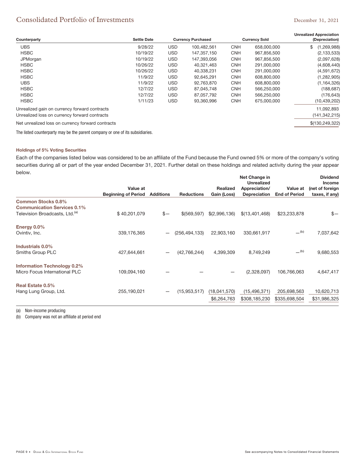| Counterparty                                      | <b>Settle Date</b> |            | <b>Currency Purchased</b> |            | <b>Currency Sold</b> | <b>Unrealized Appreciation</b><br>(Depreciation) |  |
|---------------------------------------------------|--------------------|------------|---------------------------|------------|----------------------|--------------------------------------------------|--|
| <b>UBS</b>                                        | 9/28/22            | <b>USD</b> | 100.482.561               | <b>CNH</b> | 658,000,000          | \$<br>(1, 269, 988)                              |  |
| <b>HSBC</b>                                       | 10/19/22           | <b>USD</b> | 147.357.150               | <b>CNH</b> | 967,856,500          | (2, 133, 533)                                    |  |
| JPMorgan                                          | 10/19/22           | <b>USD</b> | 147,393,056               | <b>CNH</b> | 967,856,500          | (2,097,628)                                      |  |
| <b>HSBC</b>                                       | 10/26/22           | <b>USD</b> | 40.321.463                | <b>CNH</b> | 291,000,000          | (4,608,440)                                      |  |
| <b>HSBC</b>                                       | 10/26/22           | <b>USD</b> | 40,338,231                | <b>CNH</b> | 291,000,000          | (4,591,672)                                      |  |
| <b>HSBC</b>                                       | 11/9/22            | <b>USD</b> | 92,645,291                | <b>CNH</b> | 608,800,000          | (1,282,905)                                      |  |
| <b>UBS</b>                                        | 11/9/22            | <b>USD</b> | 92,763,870                | <b>CNH</b> | 608,800,000          | (1, 164, 326)                                    |  |
| <b>HSBC</b>                                       | 12/7/22            | <b>USD</b> | 87,045,748                | <b>CNH</b> | 566,250,000          | (188, 687)                                       |  |
| <b>HSBC</b>                                       | 12/7/22            | <b>USD</b> | 87,057,792                | <b>CNH</b> | 566,250,000          | (176, 643)                                       |  |
| <b>HSBC</b>                                       | 1/11/23            | <b>USD</b> | 93,360,996                | <b>CNH</b> | 675,000,000          | (10, 439, 202)                                   |  |
| Unrealized gain on currency forward contracts     |                    |            |                           |            |                      | 11,092,893                                       |  |
| Unrealized loss on currency forward contracts     |                    |            |                           |            |                      | (141, 342, 215)                                  |  |
| Net unrealized loss on currency forward contracts |                    |            |                           |            |                      | \$(130, 249, 322)                                |  |

The listed counterparty may be the parent company or one of its subsidiaries.

#### **Holdings of 5% Voting Securities**

Each of the companies listed below was considered to be an affiliate of the Fund because the Fund owned 5% or more of the company's voting securities during all or part of the year ended December 31, 2021. Further detail on these holdings and related activity during the year appear below.

|                                                                                                               | Value at<br><b>Beginning of Period</b> | <b>Additions</b> | <b>Reductions</b> | <b>Realized</b><br>Gain (Loss) | Net Change in<br>Unrealized<br>Appreciation/<br><b>Depreciation</b> | Value at<br><b>End of Period</b> | <b>Dividend</b><br>Income<br>(net of foreign<br>taxes, if any) |
|---------------------------------------------------------------------------------------------------------------|----------------------------------------|------------------|-------------------|--------------------------------|---------------------------------------------------------------------|----------------------------------|----------------------------------------------------------------|
| <b>Common Stocks 0.8%</b><br><b>Communication Services 0.1%</b><br>Television Broadcasts, Ltd. <sup>(a)</sup> | \$40,201,079                           | $$ -$            | \$(569,597)       | \$(2,996,136)                  | \$(13, 401, 468)                                                    | \$23,233,878                     | $s-$                                                           |
| Energy 0.0%<br>Ovintiv, Inc.                                                                                  | 339,176,365                            |                  | (256, 494, 133)   | 22,903,160                     | 330,661,917                                                         | $-$ (b)                          | 7,037,642                                                      |
| Industrials 0.0%<br>Smiths Group PLC                                                                          | 427,644,661                            |                  | (42, 766, 244)    | 4,399,309                      | 8,749,249                                                           | $-$ <sup>(b)</sup>               | 9,680,553                                                      |
| <b>Information Technology 0.2%</b><br>Micro Focus International PLC                                           | 109,094,160                            |                  |                   |                                | (2,328,097)                                                         | 106,766,063                      | 4,647,417                                                      |
| Real Estate 0.5%<br>Hang Lung Group, Ltd.                                                                     | 255,190,021                            |                  | (15,953,517)      | (18,041,570)<br>\$6,264,763    | (15, 496, 371)<br>\$308,185,230                                     | 205,698,563<br>\$335,698,504     | 10,620,713<br>\$31,986,325                                     |

(a) Non-income producing

(b) Company was not an affiliate at period end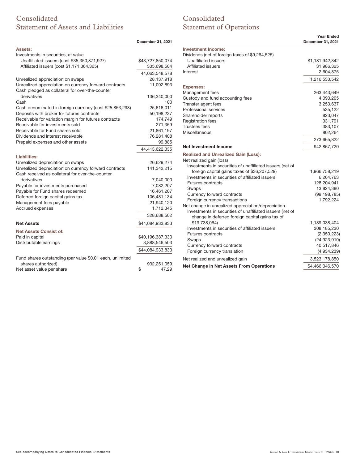### Consolidated Statement of Assets and Liabilities

|                                                           | December 31, 2021 |
|-----------------------------------------------------------|-------------------|
| <b>Assets:</b>                                            |                   |
| Investments in securities, at value                       |                   |
| Unaffiliated issuers (cost \$35,350,871,927)              | \$43,727,850,074  |
| Affiliated issuers (cost \$1,171,364,365)                 | 335,698,504       |
|                                                           | 44,063,548,578    |
| Unrealized appreciation on swaps                          | 28,137,918        |
| Unrealized appreciation on currency forward contracts     | 11,092,893        |
| Cash pledged as collateral for over-the-counter           |                   |
| derivatives                                               | 136,340,000       |
| Cash                                                      | 100               |
| Cash denominated in foreign currency (cost \$25,853,293)  | 25,616,011        |
| Deposits with broker for futures contracts                | 50,198,237        |
| Receivable for variation margin for futures contracts     | 174,749           |
| Receivable for investments sold                           | 271,359           |
| Receivable for Fund shares sold                           | 21,861,197        |
| Dividends and interest receivable                         | 76,281,408        |
| Prepaid expenses and other assets                         | 99,885            |
|                                                           | 44,413,622,335    |
| Liabilities:                                              |                   |
| Unrealized depreciation on swaps                          | 26,629,274        |
| Unrealized depreciation on currency forward contracts     | 141,342,215       |
| Cash received as collateral for over-the-counter          |                   |
| derivatives                                               | 7,040,000         |
| Payable for investments purchased                         | 7,082,207         |
| Payable for Fund shares redeemed                          | 16,461,207        |
| Deferred foreign capital gains tax                        | 106,481,134       |
| Management fees payable                                   | 21,940,120        |
| Accrued expenses                                          | 1,712,345         |
|                                                           | 328,688,502       |
| <b>Net Assets</b>                                         | \$44,084,933,833  |
| <b>Net Assets Consist of:</b>                             |                   |
| Paid in capital                                           | \$40,196,387,330  |
| Distributable earnings                                    | 3,888,546,503     |
|                                                           | \$44,084,933,833  |
| Fund shares outstanding (par value \$0.01 each, unlimited |                   |
| shares authorized)                                        | 932,251,059       |
| Net asset value per share                                 | \$<br>47.29       |

### Consolidated Statement of Operations

|                                                           | <b>Year Ended</b><br>December 31, 2021 |
|-----------------------------------------------------------|----------------------------------------|
| <b>Investment Income:</b>                                 |                                        |
| Dividends (net of foreign taxes of \$9,264,525)           |                                        |
| <b>Unaffiliated issuers</b>                               | \$1,181,942,342                        |
| Affiliated issuers                                        | 31,986,325                             |
| Interest                                                  | 2,604,875                              |
|                                                           | 1,216,533,542                          |
| <b>Expenses:</b>                                          |                                        |
| Management fees                                           | 263,443,649                            |
| Custody and fund accounting fees                          | 4,093,205                              |
| Transfer agent fees                                       | 3,253,637                              |
| Professional services                                     | 535,122                                |
| Shareholder reports                                       | 823,047                                |
| Registration fees                                         | 331,791                                |
| <b>Trustees fees</b>                                      | 383,107                                |
| Miscellaneous                                             | 802,264                                |
|                                                           | 273,665,822                            |
| Net Investment Income                                     | 942,867,720                            |
| <b>Realized and Unrealized Gain (Loss):</b>               |                                        |
| Net realized gain (loss)                                  |                                        |
| Investments in securities of unaffiliated issuers (net of |                                        |
| foreign capital gains taxes of \$36,207,529)              | 1,966,758,219                          |
| Investments in securities of affiliated issuers           | 6,264,763                              |
| <b>Futures contracts</b>                                  | 128,204,941                            |
| Swaps                                                     | 13,824,380                             |
| Currency forward contracts                                | (99, 198, 785)                         |
| Foreign currency transactions                             | 1,792,224                              |
| Net change in unrealized appreciation/depreciation        |                                        |
| Investments in securities of unaffiliated issuers (net of |                                        |
| change in deferred foreign capital gains tax of           |                                        |
| \$19,738,064)                                             | 1,189,038,404                          |
| Investments in securities of affiliated issuers           | 308,185,230                            |
| <b>Futures contracts</b>                                  | (2,350,223)                            |
| Swaps                                                     | (24, 923, 910)                         |
| Currency forward contracts                                | 40,517,846                             |
| Foreign currency translation                              | (4,934,239)                            |
| Net realized and unrealized gain                          | 3,523,178,850                          |
| <b>Net Change in Net Assets From Operations</b>           | \$4,466,046,570                        |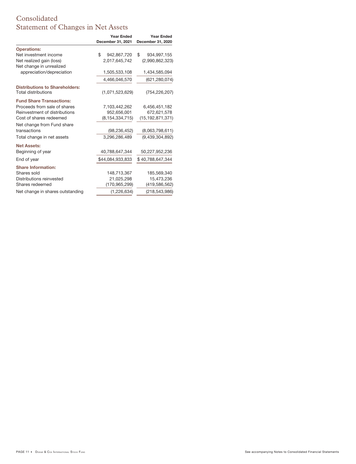### Consolidated Statement of Changes in Net Assets

|                                                                     | <b>Year Ended</b>  | <b>Year Ended</b>   |
|---------------------------------------------------------------------|--------------------|---------------------|
|                                                                     | December 31, 2021  | December 31, 2020   |
| <b>Operations:</b>                                                  |                    |                     |
| Net investment income                                               | \$<br>942,867,720  | \$<br>934,997,155   |
| Net realized gain (loss)<br>Net change in unrealized                | 2,017,645,742      | (2,990,862,323)     |
| appreciation/depreciation                                           | 1,505,533,108      | 1,434,585,094       |
|                                                                     | 4,466,046,570      | (621, 280, 074)     |
| <b>Distributions to Shareholders:</b><br><b>Total distributions</b> | (1,071,523,629)    | (754, 226, 207)     |
| <b>Fund Share Transactions:</b>                                     |                    |                     |
| Proceeds from sale of shares                                        | 7,103,442,262      | 6,456,451,182       |
| Reinvestment of distributions                                       | 952.656.001        | 672.621.578         |
| Cost of shares redeemed                                             | (8, 154, 334, 715) | (15, 192, 871, 371) |
| Net change from Fund share                                          |                    |                     |
| transactions                                                        | (98, 236, 452)     | (8,063,798,611)     |
| Total change in net assets                                          | 3,296,286,489      | (9,439,304,892)     |
| <b>Net Assets:</b>                                                  |                    |                     |
| Beginning of year                                                   | 40.788.647.344     | 50,227,952,236      |
| End of year                                                         | \$44.084.933.833   | \$40.788.647.344    |
| <b>Share Information:</b>                                           |                    |                     |
| Shares sold                                                         | 148,713,367        | 185,569,340         |
| Distributions reinvested                                            | 21,025,298         | 15,473,236          |
| Shares redeemed                                                     | (170, 965, 299)    | (419, 586, 562)     |
| Net change in shares outstanding                                    | (1, 226, 634)      | (218, 543, 986)     |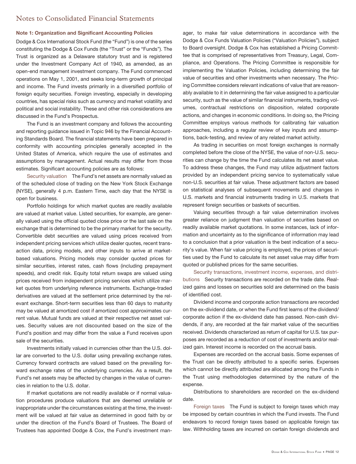### **Note 1: Organization and Significant Accounting Policies**

Dodge & Cox International Stock Fund (the "Fund") is one of the series constituting the Dodge & Cox Funds (the "Trust" or the "Funds"). The Trust is organized as a Delaware statutory trust and is registered under the Investment Company Act of 1940, as amended, as an open-end management investment company. The Fund commenced operations on May 1, 2001, and seeks long-term growth of principal and income. The Fund invests primarily in a diversified portfolio of foreign equity securities. Foreign investing, especially in developing countries, has special risks such as currency and market volatility and political and social instability. These and other risk considerations are discussed in the Fund's Prospectus.

The Fund is an investment company and follows the accounting and reporting guidance issued in Topic 946 by the Financial Accounting Standards Board. The financial statements have been prepared in conformity with accounting principles generally accepted in the United States of America, which require the use of estimates and assumptions by management. Actual results may differ from those estimates. Significant accounting policies are as follows:

Security valuation The Fund's net assets are normally valued as of the scheduled close of trading on the New York Stock Exchange (NYSE), generally 4 p.m. Eastern Time, each day that the NYSE is open for business.

Portfolio holdings for which market quotes are readily available are valued at market value. Listed securities, for example, are generally valued using the official quoted close price or the last sale on the exchange that is determined to be the primary market for the security. Convertible debt securities are valued using prices received from independent pricing services which utilize dealer quotes, recent transaction data, pricing models, and other inputs to arrive at marketbased valuations. Pricing models may consider quoted prices for similar securities, interest rates, cash flows (including prepayment speeds), and credit risk. Equity total return swaps are valued using prices received from independent pricing services which utilize market quotes from underlying reference instruments. Exchange-traded derivatives are valued at the settlement price determined by the relevant exchange. Short-term securities less than 60 days to maturity may be valued at amortized cost if amortized cost approximates current value. Mutual funds are valued at their respective net asset values. Security values are not discounted based on the size of the Fund's position and may differ from the value a Fund receives upon sale of the securities.

Investments initially valued in currencies other than the U.S. dollar are converted to the U.S. dollar using prevailing exchange rates. Currency forward contracts are valued based on the prevailing forward exchange rates of the underlying currencies. As a result, the Fund's net assets may be affected by changes in the value of currencies in relation to the U.S. dollar.

If market quotations are not readily available or if normal valuation procedures produce valuations that are deemed unreliable or inappropriate under the circumstances existing at the time, the investment will be valued at fair value as determined in good faith by or under the direction of the Fund's Board of Trustees. The Board of Trustees has appointed Dodge & Cox, the Fund's investment manager, to make fair value determinations in accordance with the Dodge & Cox Funds Valuation Policies ("Valuation Policies"), subject to Board oversight. Dodge & Cox has established a Pricing Committee that is comprised of representatives from Treasury, Legal, Compliance, and Operations. The Pricing Committee is responsible for implementing the Valuation Policies, including determining the fair value of securities and other investments when necessary. The Pricing Committee considers relevant indications of value that are reasonably available to it in determining the fair value assigned to a particular security, such as the value of similar financial instruments, trading volumes, contractual restrictions on disposition, related corporate actions, and changes in economic conditions. In doing so, the Pricing Committee employs various methods for calibrating fair valuation approaches, including a regular review of key inputs and assumptions, back-testing, and review of any related market activity.

As trading in securities on most foreign exchanges is normally completed before the close of the NYSE, the value of non-U.S. securities can change by the time the Fund calculates its net asset value. To address these changes, the Fund may utilize adjustment factors provided by an independent pricing service to systematically value non-U.S. securities at fair value. These adjustment factors are based on statistical analyses of subsequent movements and changes in U.S. markets and financial instruments trading in U.S. markets that represent foreign securities or baskets of securities.

Valuing securities through a fair value determination involves greater reliance on judgment than valuation of securities based on readily available market quotations. In some instances, lack of information and uncertainty as to the significance of information may lead to a conclusion that a prior valuation is the best indication of a security's value. When fair value pricing is employed, the prices of securities used by the Fund to calculate its net asset value may differ from quoted or published prices for the same securities.

Security transactions, investment income, expenses, and distributions Security transactions are recorded on the trade date. Realized gains and losses on securities sold are determined on the basis of identified cost.

Dividend income and corporate action transactions are recorded on the ex-dividend date, or when the Fund first learns of the dividend/ corporate action if the ex-dividend date has passed. Non-cash dividends, if any, are recorded at the fair market value of the securities received. Dividends characterized as return of capital for U.S. tax purposes are recorded as a reduction of cost of investments and/or realized gain. Interest income is recorded on the accrual basis.

Expenses are recorded on the accrual basis. Some expenses of the Trust can be directly attributed to a specific series. Expenses which cannot be directly attributed are allocated among the Funds in the Trust using methodologies determined by the nature of the expense.

Distributions to shareholders are recorded on the ex-dividend date.

Foreign taxes The Fund is subject to foreign taxes which may be imposed by certain countries in which the Fund invests. The Fund endeavors to record foreign taxes based on applicable foreign tax law. Withholding taxes are incurred on certain foreign dividends and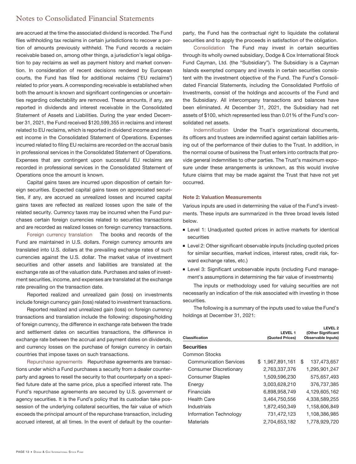are accrued at the time the associated dividend is recorded. The Fund files withholding tax reclaims in certain jurisdictions to recover a portion of amounts previously withheld. The Fund records a reclaim receivable based on, among other things, a jurisdiction's legal obligation to pay reclaims as well as payment history and market convention. In consideration of recent decisions rendered by European courts, the Fund has filed for additional reclaims ("EU reclaims") related to prior years. A corresponding receivable is established when both the amount is known and significant contingencies or uncertainties regarding collectability are removed. These amounts, if any, are reported in dividends and interest receivable in the Consolidated Statement of Assets and Liabilities. During the year ended December 31, 2021, the Fund received \$120,599,355 in reclaims and interest related to EU reclaims, which is reported in dividend income and interest income in the Consolidated Statement of Operations. Expenses incurred related to filing EU reclaims are recorded on the accrual basis in professional services in the Consolidated Statement of Operations. Expenses that are contingent upon successful EU reclaims are recorded in professional services in the Consolidated Statement of Operations once the amount is known.

Capital gains taxes are incurred upon disposition of certain foreign securities. Expected capital gains taxes on appreciated securities, if any, are accrued as unrealized losses and incurred capital gains taxes are reflected as realized losses upon the sale of the related security. Currency taxes may be incurred when the Fund purchases certain foreign currencies related to securities transactions and are recorded as realized losses on foreign currency transactions.

Foreign currency translation The books and records of the Fund are maintained in U.S. dollars. Foreign currency amounts are translated into U.S. dollars at the prevailing exchange rates of such currencies against the U.S. dollar. The market value of investment securities and other assets and liabilities are translated at the exchange rate as of the valuation date. Purchases and sales of investment securities, income, and expenses are translated at the exchange rate prevailing on the transaction date.

Reported realized and unrealized gain (loss) on investments include foreign currency gain (loss) related to investment transactions.

Reported realized and unrealized gain (loss) on foreign currency transactions and translation include the following: disposing/holding of foreign currency, the difference in exchange rate between the trade and settlement dates on securities transactions, the difference in exchange rate between the accrual and payment dates on dividends, and currency losses on the purchase of foreign currency in certain countries that impose taxes on such transactions.

Repurchase agreements Repurchase agreements are transactions under which a Fund purchases a security from a dealer counterparty and agrees to resell the security to that counterparty on a specified future date at the same price, plus a specified interest rate. The Fund's repurchase agreements are secured by U.S. government or agency securities. It is the Fund's policy that its custodian take possession of the underlying collateral securities, the fair value of which exceeds the principal amount of the repurchase transaction, including accrued interest, at all times. In the event of default by the counterparty, the Fund has the contractual right to liquidate the collateral securities and to apply the proceeds in satisfaction of the obligation.

Consolidation The Fund may invest in certain securities through its wholly owned subsidiary, Dodge & Cox International Stock Fund Cayman, Ltd. (the "Subsidiary"). The Subsidiary is a Cayman Islands exempted company and invests in certain securities consistent with the investment objective of the Fund. The Fund's Consolidated Financial Statements, including the Consolidated Portfolio of Investments, consist of the holdings and accounts of the Fund and the Subsidiary. All intercompany transactions and balances have been eliminated. At December 31, 2021, the Subsidiary had net assets of \$100, which represented less than 0.01% of the Fund's consolidated net assets.

Indemnification Under the Trust's organizational documents, its officers and trustees are indemnified against certain liabilities arising out of the performance of their duties to the Trust. In addition, in the normal course of business the Trust enters into contracts that provide general indemnities to other parties. The Trust's maximum exposure under these arrangements is unknown, as this would involve future claims that may be made against the Trust that have not yet occurred.

#### **Note 2: Valuation Measurements**

Various inputs are used in determining the value of the Fund's investments. These inputs are summarized in the three broad levels listed below.

- **Level 1: Unadjusted quoted prices in active markets for identical** securities
- Level 2: Other significant observable inputs (including quoted prices for similar securities, market indices, interest rates, credit risk, forward exchange rates, etc.)
- **Level 3: Significant unobservable inputs (including Fund manage**ment's assumptions in determining the fair value of investments)

The inputs or methodology used for valuing securities are not necessarily an indication of the risk associated with investing in those securities.

The following is a summary of the inputs used to value the Fund's holdings at December 31, 2021:

| Classification                | LEVEL 1<br>(Quoted Prices) | LEVEL 2<br>(Other Significant<br>Observable Inputs) |
|-------------------------------|----------------------------|-----------------------------------------------------|
| <b>Securities</b>             |                            |                                                     |
| Common Stocks                 |                            |                                                     |
| <b>Communication Services</b> | \$1,967,891,161            | 137.473.657<br>S                                    |
| Consumer Discretionary        | 2,763,337,376              | 1,295,901,247                                       |
| <b>Consumer Staples</b>       | 1,509,596,230              | 575.657.493                                         |
| Energy                        | 3.003.628.210              | 376.737.385                                         |
| <b>Financials</b>             | 6,898,958,749              | 4,129,605,162                                       |
| Health Care                   | 3,464,750,556              | 4.338.589.255                                       |
| Industrials                   | 1,872,450,349              | 1,158,606,849                                       |
| Information Technology        | 731,472,123                | 1,108,386,985                                       |
| Materials                     | 2.704.653.182              | 1,778,929,720                                       |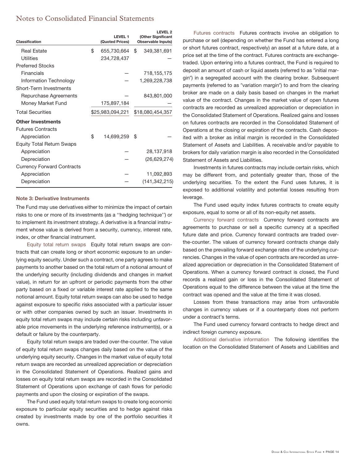| Classification                    |                  | LEVEL 1<br>(Quoted Prices) | LEVEL <sub>2</sub><br>(Other Significant<br>Observable Inputs) |
|-----------------------------------|------------------|----------------------------|----------------------------------------------------------------|
| <b>Real Estate</b>                | \$               | 655,730,664 \$             | 349,381,691                                                    |
| Utilities                         |                  | 234,728,437                |                                                                |
| <b>Preferred Stocks</b>           |                  |                            |                                                                |
| Financials                        |                  |                            | 718,155,175                                                    |
| Information Technology            |                  |                            | 1,269,228,738                                                  |
| Short-Term Investments            |                  |                            |                                                                |
| Repurchase Agreements             |                  |                            | 843,801,000                                                    |
| Money Market Fund                 | 175,897,184      |                            |                                                                |
| <b>Total Securities</b>           | \$25,983,094,221 |                            | \$18,080,454,357                                               |
| <b>Other Investments</b>          |                  |                            |                                                                |
| <b>Futures Contracts</b>          |                  |                            |                                                                |
| Appreciation                      | \$               | 14,699,259                 | \$                                                             |
| Equity Total Return Swaps         |                  |                            |                                                                |
| Appreciation                      |                  |                            | 28,137,918                                                     |
| Depreciation                      |                  |                            | (26, 629, 274)                                                 |
| <b>Currency Forward Contracts</b> |                  |                            |                                                                |
| Appreciation                      |                  |                            | 11,092,893                                                     |
| Depreciation                      |                  |                            | (141, 342, 215)                                                |

### **Note 3: Derivative Instruments**

The Fund may use derivatives either to minimize the impact of certain risks to one or more of its investments (as a ''hedging technique'') or to implement its investment strategy. A derivative is a financial instrument whose value is derived from a security, currency, interest rate, index, or other financial instrument.

Equity total return swaps Equity total return swaps are contracts that can create long or short economic exposure to an underlying equity security. Under such a contract, one party agrees to make payments to another based on the total return of a notional amount of the underlying security (including dividends and changes in market value), in return for an upfront or periodic payments from the other party based on a fixed or variable interest rate applied to the same notional amount. Equity total return swaps can also be used to hedge against exposure to specific risks associated with a particular issuer or with other companies owned by such an issuer. Investments in equity total return swaps may include certain risks including unfavorable price movements in the underlying reference instrument(s), or a default or failure by the counterparty.

Equity total return swaps are traded over-the-counter. The value of equity total return swaps changes daily based on the value of the underlying equity security. Changes in the market value of equity total return swaps are recorded as unrealized appreciation or depreciation in the Consolidated Statement of Operations. Realized gains and losses on equity total return swaps are recorded in the Consolidated Statement of Operations upon exchange of cash flows for periodic payments and upon the closing or expiration of the swaps.

The Fund used equity total return swaps to create long economic exposure to particular equity securities and to hedge against risks created by investments made by one of the portfolio securities it owns.

Futures contracts Futures contracts involve an obligation to purchase or sell (depending on whether the Fund has entered a long or short futures contract, respectively) an asset at a future date, at a price set at the time of the contract. Futures contracts are exchangetraded. Upon entering into a futures contract, the Fund is required to deposit an amount of cash or liquid assets (referred to as "initial margin") in a segregated account with the clearing broker. Subsequent payments (referred to as "variation margin") to and from the clearing broker are made on a daily basis based on changes in the market value of the contract. Changes in the market value of open futures contracts are recorded as unrealized appreciation or depreciation in the Consolidated Statement of Operations. Realized gains and losses on futures contracts are recorded in the Consolidated Statement of Operations at the closing or expiration of the contracts. Cash deposited with a broker as initial margin is recorded in the Consolidated Statement of Assets and Liabilities. A receivable and/or payable to brokers for daily variation margin is also recorded in the Consolidated Statement of Assets and Liabilities.

Investments in futures contracts may include certain risks, which may be different from, and potentially greater than, those of the underlying securities. To the extent the Fund uses futures, it is exposed to additional volatility and potential losses resulting from leverage.

The Fund used equity index futures contracts to create equity exposure, equal to some or all of its non-equity net assets.

Currency forward contracts Currency forward contracts are agreements to purchase or sell a specific currency at a specified future date and price. Currency forward contracts are traded overthe-counter. The values of currency forward contracts change daily based on the prevailing forward exchange rates of the underlying currencies. Changes in the value of open contracts are recorded as unrealized appreciation or depreciation in the Consolidated Statement of Operations. When a currency forward contract is closed, the Fund records a realized gain or loss in the Consolidated Statement of Operations equal to the difference between the value at the time the contract was opened and the value at the time it was closed.

Losses from these transactions may arise from unfavorable changes in currency values or if a counterparty does not perform under a contract's terms.

The Fund used currency forward contracts to hedge direct and indirect foreign currency exposure.

Additional derivative information The following identifies the location on the Consolidated Statement of Assets and Liabilities and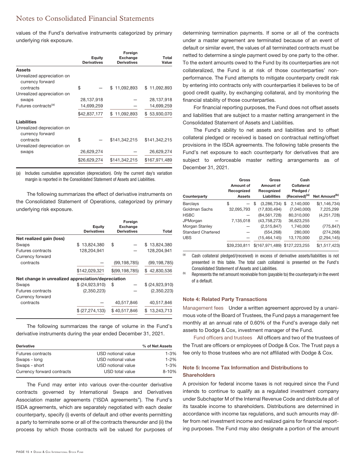values of the Fund's derivative instruments categorized by primary underlying risk exposure.

|                                                | Equity             | Foreign<br><b>Exchange</b> | Total         |
|------------------------------------------------|--------------------|----------------------------|---------------|
|                                                | <b>Derivatives</b> | <b>Derivatives</b>         | Value         |
| <b>Assets</b>                                  |                    |                            |               |
| Unrealized appreciation on<br>currency forward |                    |                            |               |
| contracts                                      | \$                 | 11,092,893<br>\$           | \$11,092,893  |
| Unrealized appreciation on                     |                    |                            |               |
| swaps                                          | 28,137,918         |                            | 28,137,918    |
| Futures contracts <sup>(a)</sup>               | 14,699,259         |                            | 14,699,259    |
|                                                | \$42,837,177       | 11,092,893<br>\$.          | \$53,930,070  |
| <b>Liabilities</b>                             |                    |                            |               |
| Unrealized depreciation on<br>currency forward |                    |                            |               |
| contracts                                      | \$                 | \$141,342,215              | \$141,342,215 |
| Unrealized depreciation on                     |                    |                            |               |
| swaps                                          | 26,629,274         |                            | 26,629,274    |
|                                                | \$26,629,274       | \$141,342,215              | \$167,971,489 |

(a) Includes cumulative appreciation (depreciation). Only the current day's variation margin is reported in the Consolidated Statement of Assets and Liabilities.

The following summarizes the effect of derivative instruments on the Consolidated Statement of Operations, categorized by primary underlying risk exposure.

|                    | Foreign            |                                                                       |
|--------------------|--------------------|-----------------------------------------------------------------------|
| <b>Derivatives</b> | <b>Derivatives</b> | Total                                                                 |
|                    |                    |                                                                       |
| 13.824.380<br>\$   | \$                 | 13.824.380<br>\$.                                                     |
| 128,204,941        |                    | 128,204,941                                                           |
|                    |                    |                                                                       |
|                    | (99, 198, 785)     | (99, 198, 785)                                                        |
| \$142,029,321      | \$ (99, 198, 785)  | 42,830,536<br>S                                                       |
|                    |                    |                                                                       |
| \$ (24,923,910)    | S                  | \$ (24,923,910)                                                       |
| (2,350,223)        |                    | (2,350,223)                                                           |
|                    |                    |                                                                       |
|                    | 40,517,846         | 40.517.846                                                            |
| \$ (27, 274, 133)  | \$40.517.846       | 13.243.713                                                            |
|                    | Equity             | <b>Exchange</b><br>Net change in unrealized appreciation/depreciation |

The following summarizes the range of volume in the Fund's derivative instruments during the year ended December 31, 2021.

| <b>Derivative</b>          |                    | % of Net Assets |
|----------------------------|--------------------|-----------------|
| <b>Futures contracts</b>   | USD notional value | $1 - 3%$        |
| Swaps - long               | USD notional value | $1 - 2%$        |
| Swaps - short              | USD notional value | $1 - 3%$        |
| Currency forward contracts | USD total value    | $8 - 10%$       |

The Fund may enter into various over-the-counter derivative contracts governed by International Swaps and Derivatives Association master agreements ("ISDA agreements"). The Fund's ISDA agreements, which are separately negotiated with each dealer counterparty, specify (i) events of default and other events permitting a party to terminate some or all of the contracts thereunder and (ii) the process by which those contracts will be valued for purposes of

determining termination payments. If some or all of the contracts under a master agreement are terminated because of an event of default or similar event, the values of all terminated contracts must be netted to determine a single payment owed by one party to the other. To the extent amounts owed to the Fund by its counterparties are not collateralized, the Fund is at risk of those counterparties' nonperformance. The Fund attempts to mitigate counterparty credit risk by entering into contracts only with counterparties it believes to be of good credit quality, by exchanging collateral, and by monitoring the financial stability of those counterparties.

For financial reporting purposes, the Fund does not offset assets and liabilities that are subject to a master netting arrangement in the Consolidated Statement of Assets and Liabilities.

The Fund's ability to net assets and liabilities and to offset collateral pledged or received is based on contractual netting/offset provisions in the ISDA agreements. The following table presents the Fund's net exposure to each counterparty for derivatives that are subject to enforceable master netting arrangements as of December 31, 2021.

| Counterparty              | <b>Gross</b><br>Amount of<br>Recognized<br><b>Assets</b> |      | Gross<br>Amount of<br>Recognized<br><b>Liabilities</b> | Cash<br><b>Collateral</b><br>Pledged /<br>(Received) <sup>(a)</sup> | Net Amount <sup>(b)</sup> |
|---------------------------|----------------------------------------------------------|------|--------------------------------------------------------|---------------------------------------------------------------------|---------------------------|
| <b>Barclays</b>           | \$                                                       | - \$ | $(3,286,734)$ \$                                       | 2,140,000                                                           | \$(1, 146, 734)           |
| Goldman Sachs             | 32,095,793                                               |      | (17,830,494)                                           | (7,040,000)                                                         | 7,225,299                 |
| <b>HSBC</b>               |                                                          |      | (84,561,728)                                           | 80,310,000                                                          | (4, 251, 728)             |
| JPMorgan                  | 7,135,018                                                |      | (43, 758, 273)                                         | 36,623,255                                                          |                           |
| Morgan Stanley            |                                                          |      | (2,515,847)                                            | 1,740,000                                                           | (775, 847)                |
| <b>Standard Chartered</b> |                                                          |      | (554, 268)                                             | 280,000                                                             | (274, 268)                |
| <b>UBS</b>                |                                                          |      | (15, 464, 145)                                         | 13,170,000                                                          | (2, 294, 145)             |
|                           | \$39,230,811                                             |      | \$(167,971,489) \$127,223,255                          |                                                                     | \$(1, 517, 423)           |

Cash collateral pledged/(received) in excess of derivative assets/liabilities is not presented in this table. The total cash collateral is presented on the Fund's Consolidated Statement of Assets and Liabilities.

(b) Represents the net amount receivable from (payable to) the counterparty in the event of a default.

#### **Note 4: Related Party Transactions**

Management fees Under a written agreement approved by a unanimous vote of the Board of Trustees, the Fund pays a management fee monthly at an annual rate of 0.60% of the Fund's average daily net assets to Dodge & Cox, investment manager of the Fund.

Fund officers and trustees All officers and two of the trustees of the Trust are officers or employees of Dodge & Cox. The Trust pays a fee only to those trustees who are not affiliated with Dodge & Cox.

### **Note 5: Income Tax Information and Distributions to Shareholders**

A provision for federal income taxes is not required since the Fund intends to continue to qualify as a regulated investment company under Subchapter M of the Internal Revenue Code and distribute all of its taxable income to shareholders. Distributions are determined in accordance with income tax regulations, and such amounts may differ from net investment income and realized gains for financial reporting purposes. The Fund may also designate a portion of the amount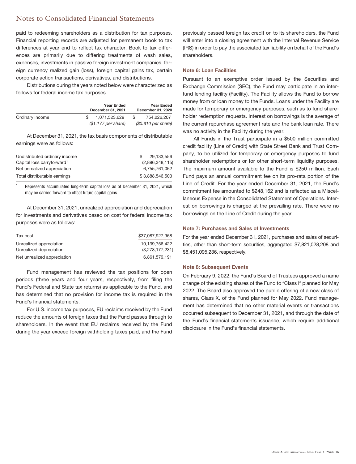paid to redeeming shareholders as a distribution for tax purposes. Financial reporting records are adjusted for permanent book to tax differences at year end to reflect tax character. Book to tax differences are primarily due to differing treatments of wash sales, expenses, investments in passive foreign investment companies, foreign currency realized gain (loss), foreign capital gains tax, certain corporate action transactions, derivatives, and distributions.

Distributions during the years noted below were characterized as follows for federal income tax purposes.

|                 | <b>Year Ended</b><br>December 31, 2021 | <b>Year Ended</b><br>December 31, 2020 |
|-----------------|----------------------------------------|----------------------------------------|
| Ordinary income | 1.071.523.629                          | 754.226.207<br>\$.                     |
|                 | (\$1.177 per share)                    | $$0.810$ per share)                    |

At December 31, 2021, the tax basis components of distributable earnings were as follows:

| Undistributed ordinary income          | 29.133.556      |  |
|----------------------------------------|-----------------|--|
| Capital loss carryforward <sup>1</sup> | (2,896,348,115) |  |
| Net unrealized appreciation            | 6,755,761,062   |  |
| Total distributable earnings           | \$3.888.546.503 |  |

Represents accumulated long-term capital loss as of December 31, 2021, which may be carried forward to offset future capital gains.

At December 31, 2021, unrealized appreciation and depreciation for investments and derivatives based on cost for federal income tax purposes were as follows:

| Tax cost                    | \$37,087,927,968 |
|-----------------------------|------------------|
| Unrealized appreciation     | 10.139.756.422   |
| Unrealized depreciation     | (3,278,177,231)  |
| Net unrealized appreciation | 6.861.579.191    |

Fund management has reviewed the tax positions for open periods (three years and four years, respectively, from filing the Fund's Federal and State tax returns) as applicable to the Fund, and has determined that no provision for income tax is required in the Fund's financial statements.

For U.S. income tax purposes, EU reclaims received by the Fund reduce the amounts of foreign taxes that the Fund passes through to shareholders. In the event that EU reclaims received by the Fund during the year exceed foreign withholding taxes paid, and the Fund previously passed foreign tax credit on to its shareholders, the Fund will enter into a closing agreement with the Internal Revenue Service (IRS) in order to pay the associated tax liability on behalf of the Fund's shareholders.

### **Note 6: Loan Facilities**

Pursuant to an exemptive order issued by the Securities and Exchange Commission (SEC), the Fund may participate in an interfund lending facility (Facility). The Facility allows the Fund to borrow money from or loan money to the Funds. Loans under the Facility are made for temporary or emergency purposes, such as to fund shareholder redemption requests. Interest on borrowings is the average of the current repurchase agreement rate and the bank loan rate. There was no activity in the Facility during the year.

All Funds in the Trust participate in a \$500 million committed credit facility (Line of Credit) with State Street Bank and Trust Company, to be utilized for temporary or emergency purposes to fund shareholder redemptions or for other short-term liquidity purposes. The maximum amount available to the Fund is \$250 million. Each Fund pays an annual commitment fee on its pro-rata portion of the Line of Credit. For the year ended December 31, 2021, the Fund's commitment fee amounted to \$248,162 and is reflected as a Miscellaneous Expense in the Consolidated Statement of Operations. Interest on borrowings is charged at the prevailing rate. There were no borrowings on the Line of Credit during the year.

### **Note 7: Purchases and Sales of Investments**

For the year ended December 31, 2021, purchases and sales of securities, other than short-term securities, aggregated \$7,821,028,208 and \$8,451,095,236, respectively.

#### **Note 8: Subsequent Events**

On February 9, 2022, the Fund's Board of Trustees approved a name change of the existing shares of the Fund to "Class I" planned for May 2022. The Board also approved the public offering of a new class of shares, Class X, of the Fund planned for May 2022. Fund management has determined that no other material events or transactions occurred subsequent to December 31, 2021, and through the date of the Fund's financial statements issuance, which require additional disclosure in the Fund's financial statements.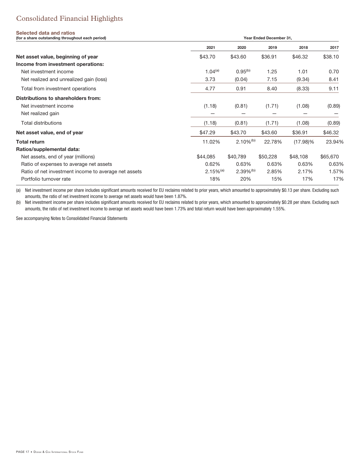### Consolidated Financial Highlights

#### **Selected data and ratios**

| (for a share outstanding throughout each period)     | Year Ended December 31. |                         |          |             |          |
|------------------------------------------------------|-------------------------|-------------------------|----------|-------------|----------|
|                                                      | 2021                    | 2020                    | 2019     | 2018        | 2017     |
| Net asset value, beginning of year                   | \$43.70                 | \$43.60                 | \$36.91  | \$46.32     | \$38.10  |
| Income from investment operations:                   |                         |                         |          |             |          |
| Net investment income                                | 1.04 <sup>(a)</sup>     | $0.95^{(b)}$            | 1.25     | 1.01        | 0.70     |
| Net realized and unrealized gain (loss)              | 3.73                    | (0.04)                  | 7.15     | (9.34)      | 8.41     |
| Total from investment operations                     | 4.77                    | 0.91                    | 8.40     | (8.33)      | 9.11     |
| Distributions to shareholders from:                  |                         |                         |          |             |          |
| Net investment income                                | (1.18)                  | (0.81)                  | (1.71)   | (1.08)      | (0.89)   |
| Net realized gain                                    |                         |                         |          |             |          |
| <b>Total distributions</b>                           | (1.18)                  | (0.81)                  | (1.71)   | (1.08)      | (0.89)   |
| Net asset value, end of year                         | \$47.29                 | \$43.70                 | \$43.60  | \$36.91     | \$46.32  |
| <b>Total return</b>                                  | 11.02%                  | $2.10\%$ <sup>(b)</sup> | 22.78%   | $(17.98)\%$ | 23.94%   |
| Ratios/supplemental data:                            |                         |                         |          |             |          |
| Net assets, end of year (millions)                   | \$44,085                | \$40,789                | \$50,228 | \$48,108    | \$65,670 |
| Ratio of expenses to average net assets              | 0.62%                   | 0.63%                   | 0.63%    | 0.63%       | 0.63%    |
| Ratio of net investment income to average net assets | $2.15\%^{(a)}$          | $2.39\%$ <sup>(b)</sup> | 2.85%    | 2.17%       | 1.57%    |
| Portfolio turnover rate                              | 18%                     | 20%                     | 15%      | 17%         | 17%      |

(a) Net investment income per share includes significant amounts received for EU reclaims related to prior years, which amounted to approximately \$0.13 per share. Excluding such amounts, the ratio of net investment income to average net assets would have been 1.87%.

(b) Net investment income per share includes significant amounts received for EU reclaims related to prior years, which amounted to approximately \$0.28 per share. Excluding such amounts, the ratio of net investment income to average net assets would have been 1.73% and total return would have been approximately 1.55%.

See accompanying Notes to Consolidated Financial Statements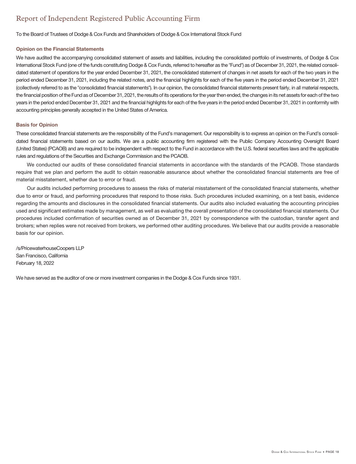### Report of Independent Registered Public Accounting Firm

To the Board of Trustees of Dodge & Cox Funds and Shareholders of Dodge & Cox International Stock Fund

### **Opinion on the Financial Statements**

We have audited the accompanying consolidated statement of assets and liabilities, including the consolidated portfolio of investments, of Dodge & Cox International Stock Fund (one of the funds constituting Dodge & Cox Funds, referred to hereafter as the "Fund") as of December 31, 2021, the related consolidated statement of operations for the year ended December 31, 2021, the consolidated statement of changes in net assets for each of the two years in the period ended December 31, 2021, including the related notes, and the financial highlights for each of the five years in the period ended December 31, 2021 (collectively referred to as the "consolidated financial statements"). In our opinion, the consolidated financial statements present fairly, in all material respects, the financial position of the Fund as of December 31, 2021, the results of its operations for the year then ended, the changes in its net assets for each ofthe two years in the period ended December 31, 2021 and the financial highlights for each of the five years in the period ended December 31, 2021 in conformity with accounting principles generally accepted in the United States of America.

#### **Basis for Opinion**

These consolidated financial statements are the responsibility of the Fund's management. Our responsibility is to express an opinion on the Fund's consolidated financial statements based on our audits. We are a public accounting firm registered with the Public Company Accounting Oversight Board (United States) (PCAOB) and are required to be independent with respect to the Fund in accordance with the U.S. federal securities laws and the applicable rules and regulations of the Securities and Exchange Commission and the PCAOB.

We conducted our audits of these consolidated financial statements in accordance with the standards of the PCAOB. Those standards require that we plan and perform the audit to obtain reasonable assurance about whether the consolidated financial statements are free of material misstatement, whether due to error or fraud.

Our audits included performing procedures to assess the risks of material misstatement of the consolidated financial statements, whether due to error or fraud, and performing procedures that respond to those risks. Such procedures included examining, on a test basis, evidence regarding the amounts and disclosures in the consolidated financial statements. Our audits also included evaluating the accounting principles used and significant estimates made by management, as well as evaluating the overall presentation of the consolidated financial statements. Our procedures included confirmation of securities owned as of December 31, 2021 by correspondence with the custodian, transfer agent and brokers; when replies were not received from brokers, we performed other auditing procedures. We believe that our audits provide a reasonable basis for our opinion.

/s/PricewaterhouseCoopers LLP San Francisco, California February 18, 2022

We have served as the auditor of one or more investment companies in the Dodge & Cox Funds since 1931.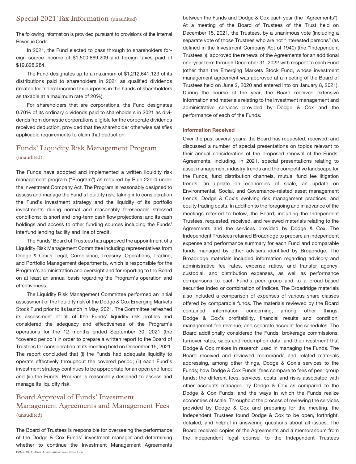### Special 2021 Tax Information (unaudited)

The following information is provided pursuant to provisions of the Internal Revenue Code:

In 2021, the Fund elected to pass through to shareholders foreign source income of \$1,500,869,209 and foreign taxes paid of \$19,828,284.

The Fund designates up to a maximum of \$1,212,641,123 of its distributions paid to shareholders in 2021 as qualified dividends (treated for federal income tax purposes in the hands of shareholders as taxable at a maximum rate of 20%).

For shareholders that are corporations, the Fund designates 0.70% of its ordinary dividends paid to shareholders in 2021 as dividends from domestic corporations eligible for the corporate dividends received deduction, provided that the shareholder otherwise satisfies applicable requirements to claim that deduction.

### Funds' Liquidity Risk Management Program (unaudited)

The Funds have adopted and implemented a written liquidity risk management program ("Program") as required by Rule 22e-4 under the Investment Company Act. The Program is reasonably designed to assess and manage the Fund's liquidity risk, taking into consideration the Fund's investment strategy and the liquidity of its portfolio investments during normal and reasonably foreseeable stressed conditions; its short and long-term cash flow projections; and its cash holdings and access to other funding sources including the Funds' interfund lending facility and line of credit.

The Funds' Board of Trustees has approved the appointment of a Liquidity Risk Management Committee including representatives from Dodge & Cox's Legal, Compliance, Treasury, Operations, Trading, and Portfolio Management departments, which is responsible for the Program's administration and oversight and for reporting to the Board on at least an annual basis regarding the Program's operation and effectiveness.

The Liquidity Risk Management Committee performed an initial assessment of the liquidity risk of the Dodge & Cox Emerging Markets Stock Fund prior to its launch in May, 2021. The Committee refreshed its assessment of all of lthe Funds' liquidity risk profiles and considered the adequacy and effectiveness of the Program's operations for the 12 months ended September 30, 2021 (the "covered period") in order to prepare a written report to the Board of Trustees for consideration at its meeting held on December 15, 2021. The report concluded that (i) the Funds had adequate liquidity to operate effectively throughout the covered period; (ii) each Fund's investment strategy continues to be appropriate for an open end fund; and (iii) the Funds' Program is reasonably designed to assess and manage its liquidity risk.

### Board Approval of Funds' Investment Management Agreements and Management Fees (unaudited)

The Board of Trustees is responsible for overseeing the performance of the Dodge & Cox Funds' investment manager and determining whether to continue the Investment Management Agreements PAGE 19 . DODGE & COX INTERNATIONAL STOCK FUND

between the Funds and Dodge & Cox each year (the "Agreements"). At a meeting of the Board of Trustees of the Trust held on December 15, 2021, the Trustees, by a unanimous vote (including a separate vote of those Trustees who are not "interested persons" (as defined in the Investment Company Act of 1940) (the "Independent Trustees")), approved the renewal of the Agreements for an additional one-year term through December 31, 2022 with respect to each Fund (other than the Emerging Markets Stock Fund, whose investment management agreement was approved at a meeting of the Board of Trustees held on June 2, 2020 and entered into on January 8, 2021). During the course of the year, the Board received extensive information and materials relating to the investment management and administrative services provided by Dodge & Cox and the performance of each of the Funds.

### **Information Received**

Over the past several years, the Board has requested, received, and discussed a number of special presentations on topics relevant to their annual consideration of the proposed renewal of the Funds' Agreements, including, in 2021, special presentations relating to asset management industry trends and the competitive landscape for the Funds, fund distribution channels, mutual fund fee litigation trends, an update on economies of scale, an update on Environmental, Social, and Governance-related asset management trends, Dodge & Cox's evolving risk management practices, and equity trading costs. In addition to the foregoing and in advance of the meetings referred to below, the Board, including the Independent Trustees, requested, received, and reviewed materials relating to the Agreements and the services provided by Dodge & Cox. The Independent Trustees retained Broadridge to prepare an independent expense and performance summary for each Fund and comparable funds managed by other advisers identified by Broadridge. The Broadridge materials included information regarding advisory and administrative fee rates, expense ratios, and transfer agency, custodial, and distribution expenses, as well as performance comparisons to each Fund's peer group and to a broad-based securities index or combination of indices. The Broadridge materials also included a comparison of expenses of various share classes offered by comparable funds. The materials reviewed by the Board contained information concerning, among other things, Dodge & Cox's profitability, financial results and condition, management fee revenue, and separate account fee schedules. The Board additionally considered the Funds' brokerage commissions, turnover rates, sales and redemption data, and the investment that Dodge & Cox makes in research used in managing the Funds. The Board received and reviewed memoranda and related materials addressing, among other things, Dodge & Cox's services to the Funds; how Dodge & Cox Funds' fees compare to fees of peer group funds; the different fees, services, costs, and risks associated with other accounts managed by Dodge & Cox as compared to the Dodge & Cox Funds; and the ways in which the Funds realize economies of scale. Throughout the process of reviewing the services provided by Dodge & Cox and preparing for the meeting, the Independent Trustees found Dodge & Cox to be open, forthright, detailed, and helpful in answering questions about all issues. The Board received copies of the Agreements and a memorandum from the independent legal counsel to the Independent Trustees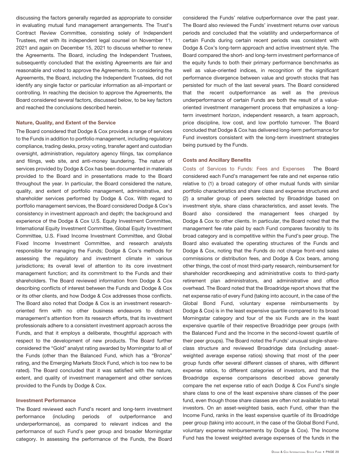discussing the factors generally regarded as appropriate to consider in evaluating mutual fund management arrangements. The Trust's Contract Review Committee, consisting solely of Independent Trustees, met with its independent legal counsel on November 11, 2021 and again on December 15, 2021 to discuss whether to renew the Agreements. The Board, including the Independent Trustees, subsequently concluded that the existing Agreements are fair and reasonable and voted to approve the Agreements. In considering the Agreements, the Board, including the Independent Trustees, did not identify any single factor or particular information as all-important or controlling. In reaching the decision to approve the Agreements, the Board considered several factors, discussed below, to be key factors and reached the conclusions described herein.

#### **Nature, Quality, and Extent of the Service**

The Board considered that Dodge & Cox provides a range of services to the Funds in addition to portfolio management, including regulatory compliance, trading desks, proxy voting, transfer agent and custodian oversight, administration, regulatory agency filings, tax compliance and filings, web site, and anti-money laundering. The nature of services provided by Dodge & Cox has been documented in materials provided to the Board and in presentations made to the Board throughout the year. In particular, the Board considered the nature, quality, and extent of portfolio management, administrative, and shareholder services performed by Dodge & Cox. With regard to portfolio management services, the Board considered Dodge & Cox's consistency in investment approach and depth; the background and experience of the Dodge & Cox U.S. Equity Investment Committee, International Equity Investment Committee, Global Equity Investment Committee, U.S. Fixed Income Investment Committee, and Global Fixed Income Investment Committee, and research analysts responsible for managing the Funds; Dodge & Cox's methods for assessing the regulatory and investment climate in various jurisdictions; its overall level of attention to its core investment management function; and its commitment to the Funds and their shareholders. The Board reviewed information from Dodge & Cox describing conflicts of interest between the Funds and Dodge & Cox or its other clients, and how Dodge & Cox addresses those conflicts. The Board also noted that Dodge & Cox is an investment researchoriented firm with no other business endeavors to distract management's attention from its research efforts, that its investment professionals adhere to a consistent investment approach across the Funds, and that it employs a deliberate, thoughtful approach with respect to the development of new products. The Board further considered the "Gold" analyst rating awarded by Morningstar to all of the Funds (other than the Balanced Fund, which has a "Bronze" rating, and the Emerging Markets Stock Fund, which is too new to be rated). The Board concluded that it was satisfied with the nature, extent, and quality of investment management and other services provided to the Funds by Dodge & Cox.

#### **Investment Performance**

The Board reviewed each Fund's recent and long-term investment performance (including periods of outperformance and underperformance), as compared to relevant indices and the performance of such Fund's peer group and broader Morningstar category. In assessing the performance of the Funds, the Board considered the Funds' relative outperformance over the past year. The Board also reviewed the Funds' investment returns over various periods and concluded that the volatility and underperformance of certain Funds during certain recent periods was consistent with Dodge & Cox's long-term approach and active investment style. The Board compared the short- and long-term investment performance of the equity funds to both their primary performance benchmarks as well as value-oriented indices, in recognition of the significant performance divergence between value and growth stocks that has persisted for much of the last several years. The Board considered that the recent outperformance as well as the previous underperformance of certain Funds are both the result of a valueoriented investment management process that emphasizes a longterm investment horizon, independent research, a team approach, price discipline, low cost, and low portfolio turnover. The Board concluded that Dodge & Cox has delivered long-term performance for Fund investors consistent with the long-term investment strategies being pursued by the Funds.

### **Costs and Ancillary Benefits**

Costs of Services to Funds: Fees and Expenses The Board considered each Fund's management fee rate and net expense ratio relative to (1) a broad category of other mutual funds with similar portfolio characteristics and share class and expense structures and (2) a smaller group of peers selected by Broadridge based on investment style, share class characteristics, and asset levels. The Board also considered the management fees charged by Dodge & Cox to other clients. In particular, the Board noted that the management fee rate paid by each Fund compares favorably to its broad category and is competitive within the Fund's peer group. The Board also evaluated the operating structures of the Funds and Dodge & Cox, noting that the Funds do not charge front-end sales commissions or distribution fees, and Dodge & Cox bears, among other things, the cost of most third-party research, reimbursement for shareholder recordkeeping and administrative costs to third-party retirement plan administrators, and administrative and office overhead. The Board noted that the Broadridge report shows that the net expense ratio of every Fund (taking into account, in the case of the Global Bond Fund, voluntary expense reimbursements by Dodge & Cox) is in the least expensive quartile compared to its broad Morningstar category and four of the six Funds are in the least expensive quartile of their respective Broadridge peer groups (with the Balanced Fund and the Income in the second-lowest quartile of their peer groups). The Board noted the Funds' unusual single-shareclass structure and reviewed Broadridge data (including assetweighted average expense ratios) showing that most of the peer group funds offer several different classes of shares, with different expense ratios, to different categories of investors, and that the Broadridge expense comparisons described above generally compare the net expense ratio of each Dodge & Cox Fund's single share class to one of the least expensive share classes of the peer fund, even though those share classes are often not available to retail investors. On an asset-weighted basis, each Fund, other than the Income Fund, ranks in the least expensive quartile of its Broadridge peer group (taking into account, in the case of the Global Bond Fund, voluntary expense reimbursements by Dodge & Cox). The Income Fund has the lowest weighted average expenses of the funds in the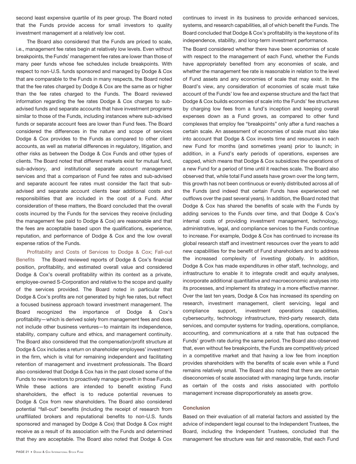second least expensive quartile of its peer group. The Board noted that the Funds provide access for small investors to quality investment management at a relatively low cost.

The Board also considered that the Funds are priced to scale, i.e., management fee rates begin at relatively low levels. Even without breakpoints, the Funds' management fee rates are lower than those of many peer funds whose fee schedules include breakpoints. With respect to non-U.S. funds sponsored and managed by Dodge & Cox that are comparable to the Funds in many respects, the Board noted that the fee rates charged by Dodge & Cox are the same as or higher than the fee rates charged to the Funds. The Board reviewed information regarding the fee rates Dodge & Cox charges to subadvised funds and separate accounts that have investment programs similar to those of the Funds, including instances where sub-advised funds or separate account fees are lower than Fund fees. The Board considered the differences in the nature and scope of services Dodge & Cox provides to the Funds as compared to other client accounts, as well as material differences in regulatory, litigation, and other risks as between the Dodge & Cox Funds and other types of clients. The Board noted that different markets exist for mutual fund, sub-advisory, and institutional separate account management services and that a comparison of Fund fee rates and sub-advised and separate account fee rates must consider the fact that subadvised and separate account clients bear additional costs and responsibilities that are included in the cost of a Fund. After consideration of these matters, the Board concluded that the overall costs incurred by the Funds for the services they receive (including the management fee paid to Dodge & Cox) are reasonable and that the fees are acceptable based upon the qualifications, experience, reputation, and performance of Dodge & Cox and the low overall expense ratios of the Funds.

Profitability and Costs of Services to Dodge & Cox; Fall-out Benefits The Board reviewed reports of Dodge & Cox's financial position, profitability, and estimated overall value and considered Dodge & Cox's overall profitability within its context as a private, employee-owned S-Corporation and relative to the scope and quality of the services provided. The Board noted in particular that Dodge & Cox's profits are not generated by high fee rates, but reflect a focused business approach toward investment management. The Board recognized the importance of Dodge & Cox's profitability—which is derived solely from management fees and does not include other business ventures—to maintain its independence, stability, company culture and ethics, and management continuity. The Board also considered that the compensation/profit structure at Dodge & Cox includes a return on shareholder employees' investment in the firm, which is vital for remaining independent and facilitating retention of management and investment professionals. The Board also considered that Dodge & Cox has in the past closed some of the Funds to new investors to proactively manage growth in those Funds. While these actions are intended to benefit existing Fund shareholders, the effect is to reduce potential revenues to Dodge & Cox from new shareholders. The Board also considered potential "fall-out" benefits (including the receipt of research from unaffiliated brokers and reputational benefits to non-U.S. funds sponsored and managed by Dodge & Cox) that Dodge & Cox might receive as a result of its association with the Funds and determined that they are acceptable. The Board also noted that Dodge & Cox continues to invest in its business to provide enhanced services, systems, and research capabilities, all of which benefit the Funds. The Board concluded that Dodge & Cox's profitability is the keystone of its independence, stability, and long-term investment performance.

The Board considered whether there have been economies of scale with respect to the management of each Fund, whether the Funds have appropriately benefited from any economies of scale, and whether the management fee rate is reasonable in relation to the level of Fund assets and any economies of scale that may exist. In the Board's view, any consideration of economies of scale must take account of the Funds' low fee and expense structure and the fact that Dodge & Cox builds economies of scale into the Funds' fee structures by charging low fees from a fund's inception and keeping overall expenses down as a Fund grows, as compared to other fund complexes that employ fee "breakpoints" only after a fund reaches a certain scale. An assessment of economies of scale must also take into account that Dodge & Cox invests time and resources in each new Fund for months (and sometimes years) prior to launch; in addition, in a Fund's early periods of operations, expenses are capped, which means that Dodge & Cox subsidizes the operations of a new Fund for a period of time until it reaches scale. The Board also observed that, while total Fund assets have grown over the long term, this growth has not been continuous or evenly distributed across all of the Funds (and indeed that certain Funds have experienced net outflows over the past several years). In addition, the Board noted that Dodge & Cox has shared the benefits of scale with the Funds by adding services to the Funds over time, and that Dodge & Cox's internal costs of providing investment management, technology, administrative, legal, and compliance services to the Funds continue to increase. For example, Dodge & Cox has continued to increase its global research staff and investment resources over the years to add new capabilities for the benefit of Fund shareholders and to address the increased complexity of investing globally. In addition, Dodge & Cox has made expenditures in other staff, technology, and infrastructure to enable it to integrate credit and equity analyses, incorporate additional quantitative and macroeconomic analyses into its processes, and implement its strategy in a more effective manner. Over the last ten years, Dodge & Cox has increased its spending on research, investment management, client servicing, legal and compliance support, investment operations capabilities, cybersecurity, technology infrastructure, third-party research, data services, and computer systems for trading, operations, compliance, accounting, and communications at a rate that has outpaced the Funds' growth rate during the same period. The Board also observed that, even without fee breakpoints, the Funds are competitively priced in a competitive market and that having a low fee from inception provides shareholders with the benefits of scale even while a Fund remains relatively small. The Board also noted that there are certain diseconomies of scale associated with managing large funds, insofar as certain of the costs and risks associated with portfolio management increase disproportionately as assets grow.

#### **Conclusion**

Based on their evaluation of all material factors and assisted by the advice of independent legal counsel to the Independent Trustees, the Board, including the Independent Trustees, concluded that the management fee structure was fair and reasonable, that each Fund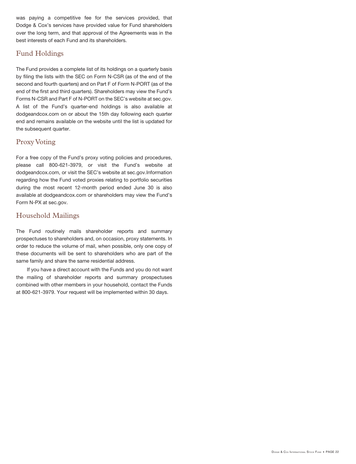was paying a competitive fee for the services provided, that Dodge & Cox's services have provided value for Fund shareholders over the long term, and that approval of the Agreements was in the best interests of each Fund and its shareholders.

### Fund Holdings

The Fund provides a complete list of its holdings on a quarterly basis by filing the lists with the SEC on Form N-CSR (as of the end of the second and fourth quarters) and on Part F of Form N-PORT (as of the end of the first and third quarters). Shareholders may view the Fund's Forms N-CSR and Part F of N-PORT on the SEC's website at sec.gov. A list of the Fund's quarter-end holdings is also available at dodgeandcox.com on or about the 15th day following each quarter end and remains available on the website until the list is updated for the subsequent quarter.

### Proxy Voting

For a free copy of the Fund's proxy voting policies and procedures, please call 800-621-3979, or visit the Fund's website at dodgeandcox.com, or visit the SEC's website at sec.gov.Information regarding how the Fund voted proxies relating to portfolio securities during the most recent 12-month period ended June 30 is also available at dodgeandcox.com or shareholders may view the Fund's Form N-PX at sec.gov.

### Household Mailings

The Fund routinely mails shareholder reports and summary prospectuses to shareholders and, on occasion, proxy statements. In order to reduce the volume of mail, when possible, only one copy of these documents will be sent to shareholders who are part of the same family and share the same residential address.

If you have a direct account with the Funds and you do not want the mailing of shareholder reports and summary prospectuses combined with other members in your household, contact the Funds at 800-621-3979. Your request will be implemented within 30 days.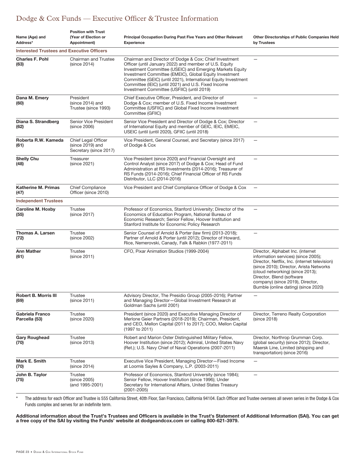### Dodge & Cox Funds — Executive Officer & Trustee Information

| Name (Age) and<br>Address*                        | <b>Position with Trust</b><br>(Year of Election or<br>Appointment) | Principal Occupation During Past Five Years and Other Relevant<br><b>Experience</b>                                                                                                                                                                                                                                                                                                                           | <b>Other Directorships of Public Companies Held</b><br>by Trustees                                                                                                                                                                                                                                               |
|---------------------------------------------------|--------------------------------------------------------------------|---------------------------------------------------------------------------------------------------------------------------------------------------------------------------------------------------------------------------------------------------------------------------------------------------------------------------------------------------------------------------------------------------------------|------------------------------------------------------------------------------------------------------------------------------------------------------------------------------------------------------------------------------------------------------------------------------------------------------------------|
| <b>Interested Trustees and Executive Officers</b> |                                                                    |                                                                                                                                                                                                                                                                                                                                                                                                               |                                                                                                                                                                                                                                                                                                                  |
| <b>Charles F. Pohl</b><br>(63)                    | <b>Chairman and Trustee</b><br>(since 2014)                        | Chairman and Director of Dodge & Cox; Chief Investment<br>Officer (until January 2022) and member of U.S. Equity<br>Investment Committee (USEIC) and Emerging Markets Equity<br>Investment Committee (EMEIC), Global Equity Investment<br>Committee (GEIC) (until 2021), International Equity Investment<br>Committee (IEIC) (until 2021) and U.S. Fixed Income<br>Investment Committee (USFIIC) (until 2019) |                                                                                                                                                                                                                                                                                                                  |
| Dana M. Emery<br>(60)                             | President<br>(since 2014) and<br>Trustee (since 1993)              | Chief Executive Officer, President, and Director of<br>Dodge & Cox; member of U.S. Fixed Income Investment<br>Committee (USFIIC) and Global Fixed Income Investment<br>Committee (GFIIC)                                                                                                                                                                                                                      |                                                                                                                                                                                                                                                                                                                  |
| Diana S. Strandberg<br>(62)                       | Senior Vice President<br>(since 2006)                              | Senior Vice President and Director of Dodge & Cox; Director<br>of International Equity and member of GEIC, IEIC, EMEIC,<br>USEIC (until (until 2020), GFIIC (until 2018)                                                                                                                                                                                                                                      | $\overline{\phantom{0}}$                                                                                                                                                                                                                                                                                         |
| Roberta R.W. Kameda<br>(61)                       | Chief Legal Officer<br>(since 2019) and<br>Secretary (since 2017)  | Vice President, General Counsel, and Secretary (since 2017)<br>of Dodge & Cox                                                                                                                                                                                                                                                                                                                                 |                                                                                                                                                                                                                                                                                                                  |
| <b>Shelly Chu</b><br>(48)                         | Treasurer<br>(since 2021)                                          | Vice President (since 2020) and Financial Oversight and<br>Control Analyst (since 2017) of Dodge & Cox; Head of Fund<br>Administration at RS Investments (2014-2016); Treasurer of<br>RS Funds (2014-2016); Chief Financial Officer of RS Funds<br>Distributor, LLC (2014-2016)                                                                                                                               |                                                                                                                                                                                                                                                                                                                  |
| <b>Katherine M. Primas</b><br>(47)                | <b>Chief Compliance</b><br>Officer (since 2010)                    | Vice President and Chief Compliance Officer of Dodge & Cox                                                                                                                                                                                                                                                                                                                                                    |                                                                                                                                                                                                                                                                                                                  |
| <b>Independent Trustees</b>                       |                                                                    |                                                                                                                                                                                                                                                                                                                                                                                                               |                                                                                                                                                                                                                                                                                                                  |
| Caroline M. Hoxby<br>(55)                         | Trustee<br>(since 2017)                                            | Professor of Economics, Stanford University; Director of the<br>Economics of Education Program, National Bureau of<br>Economic Research; Senior Fellow, Hoover Institution and<br>Stanford Institute for Economic Policy Research                                                                                                                                                                             |                                                                                                                                                                                                                                                                                                                  |
| <b>Thomas A. Larsen</b><br>(72)                   | Trustee<br>(since 2002)                                            | Senior Counsel of Arnold & Porter (law firm) (2013-2018);<br>Partner of Arnold & Porter (until 2012); Director of Howard,<br>Rice, Nemerovski, Canady, Falk & Rabkin (1977-2011)                                                                                                                                                                                                                              |                                                                                                                                                                                                                                                                                                                  |
| <b>Ann Mather</b><br>(61)                         | Trustee<br>(since 2011)                                            | CFO, Pixar Animation Studios (1999-2004)                                                                                                                                                                                                                                                                                                                                                                      | Director, Alphabet Inc. (internet<br>information services) (since 2005);<br>Director, Netflix, Inc. (internet television)<br>(since 2010); Director, Arista Networks<br>(cloud networking) (since 2013);<br>Director, Blend (software<br>company) (since 2019), Director,<br>Bumble (online dating) (since 2020) |
| <b>Robert B. Morris III</b><br>(69)               | Trustee<br>(since 2011)                                            | Advisory Director, The Presidio Group (2005-2016); Partner<br>and Managing Director-Global Investment Research at<br>Goldman Sachs (until 2001)                                                                                                                                                                                                                                                               |                                                                                                                                                                                                                                                                                                                  |
| Gabriela Franco<br>Parcella (53)                  | Trustee<br>(since 2020)                                            | President (since 2020) and Executive Managing Director of<br>Merlone Geier Partners (2018-2019); Chairman, President,<br>and CEO, Mellon Capital (2011 to 2017); COO, Mellon Capital<br>(1997 to 2011)                                                                                                                                                                                                        | Director, Terreno Realty Corporation<br>(since 2018)                                                                                                                                                                                                                                                             |
| <b>Gary Roughead</b><br>(70)                      | Trustee<br>(since 2013)                                            | Robert and Marion Oster Distinguished Military Fellow,<br>Hoover Institution (since 2012); Admiral, United States Navy<br>(Ret.); U.S. Navy Chief of Naval Operations (2007-2011)                                                                                                                                                                                                                             | Director, Northrop Grumman Corp.<br>(global security) (since 2012); Director,<br>Maersk Line, Limited (shipping and<br>transportation) (since 2016)                                                                                                                                                              |
| Mark E. Smith<br>(70)                             | Trustee<br>(since 2014)                                            | Executive Vice President, Managing Director-Fixed Income<br>at Loomis Sayles & Company, L.P. (2003-2011)                                                                                                                                                                                                                                                                                                      |                                                                                                                                                                                                                                                                                                                  |
| John B. Taylor<br>(75)                            | Trustee<br>(since 2005)<br>(and 1995-2001)                         | Professor of Economics, Stanford University (since 1984);<br>Senior Fellow, Hoover Institution (since 1996); Under<br>Secretary for International Affairs, United States Treasury<br>$(2001 - 2005)$                                                                                                                                                                                                          |                                                                                                                                                                                                                                                                                                                  |

\* The address for each Officer and Trustee is 555 California Street, 40th Floor, San Francisco, California 94104. Each Officer and Trustee oversees all seven series in the Dodge & Cox Funds complex and serves for an indefinite term.

Additional information about the Trust's Trustees and Officers is available in the Trust's Statement of Additional Information (SAI). You can get<br>a free copy of the SAI by visiting the Funds' website at dodgeandcox.com or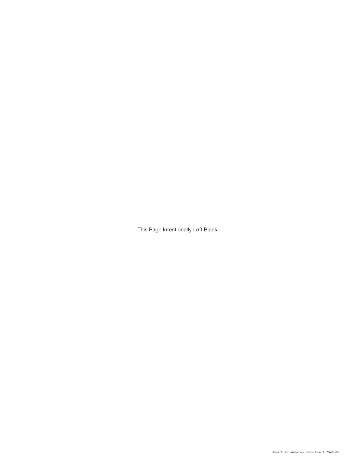This Page Intentionally Left Blank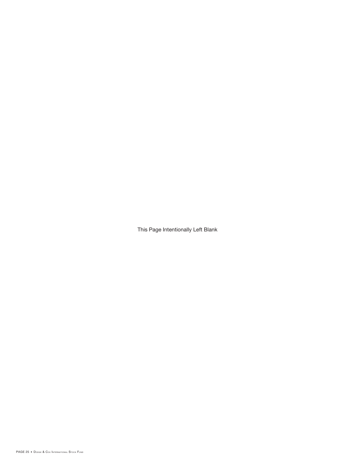This Page Intentionally Left Blank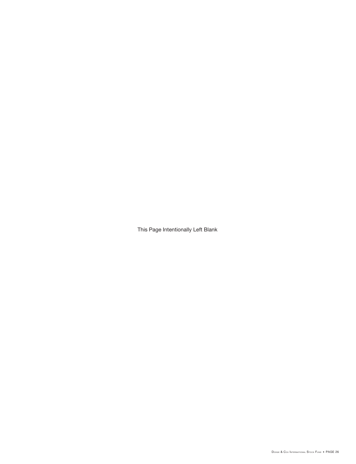This Page Intentionally Left Blank